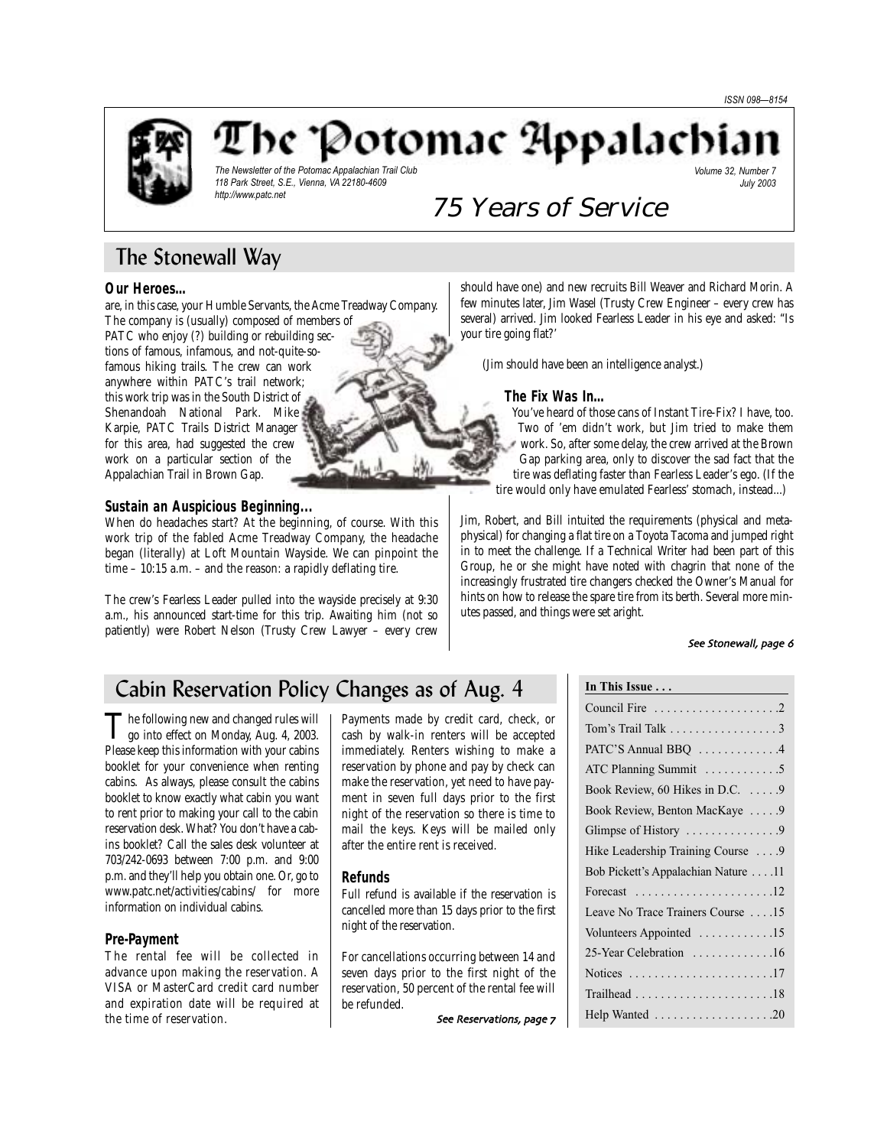

The 'Potomac Appalachia

*The Newsletter of the Potomac Appalachian Trail Club 118 Park Street, S.E., Vienna, VA 22180-4609 http://www.patc.net*

*Volume 32, Number 7 July 2003*

# 75 Years of Service

# The Stonewall Way

### **Our Heroes…**

are, in this case, your Humble Servants, the Acme Treadway Company. The company is (usually) composed of members of

PATC who enjoy (?) building or rebuilding sections of famous, infamous, and not-quite-sofamous hiking trails. The crew can work anywhere within PATC's trail network; this work trip was in the South District of Shenandoah National Park. Mike Karpie, PATC Trails District Manager for this area, had suggested the crew work on a particular section of the Appalachian Trail in Brown Gap.

### **Sustain an Auspicious Beginning...**

When do headaches start? At the beginning, of course. With this work trip of the fabled Acme Treadway Company, the headache began (literally) at Loft Mountain Wayside. We can pinpoint the time – 10:15 a.m. – and the reason: a rapidly deflating tire.

The crew's Fearless Leader pulled into the wayside precisely at 9:30 a.m., his announced start-time for this trip. Awaiting him (not so patiently) were Robert Nelson (Trusty Crew Lawyer – every crew should have one) and new recruits Bill Weaver and Richard Morin. A few minutes later, Jim Wasel (Trusty Crew Engineer – every crew has several) arrived. Jim looked Fearless Leader in his eye and asked: "Is your tire going flat?'

(Jim should have been an intelligence analyst.)

#### **The Fix Was In…**

You've heard of those cans of Instant Tire-Fix? I have, too. Two of 'em didn't work, but Jim tried to make them work. So, after some delay, the crew arrived at the Brown Gap parking area, only to discover the sad fact that the tire was deflating faster than Fearless Leader's ego. (If the tire would only have emulated Fearless' stomach, instead...)

Jim, Robert, and Bill intuited the requirements (physical and metaphysical) for changing a flat tire on a Toyota Tacoma and jumped right in to meet the challenge. If a Technical Writer had been part of this Group, he or she might have noted with chagrin that none of the increasingly frustrated tire changers checked the Owner's Manual for hints on how to release the spare tire from its berth. Several more minutes passed, and things were set aright.

### See Stonewall, page 6

# Cabin Reservation Policy Changes as of Aug. 4

The following new and changed rules will<br>go into effect on Monday, Aug. 4, 2003. Please keep this information with your cabins booklet for your convenience when renting cabins. As always, please consult the cabins booklet to know exactly what cabin you want to rent prior to making your call to the cabin reservation desk. What? You don't have a cabins booklet? Call the sales desk volunteer at 703/242-0693 between 7:00 p.m. and 9:00 p.m. and they'll help you obtain one. Or, go to www.patc.net/activities/cabins/ for more information on individual cabins.

### **Pre-Payment**

The rental fee will be collected in advance upon making the reservation. A VISA or MasterCard credit card number and expiration date will be required at the time of reservation.

Payments made by credit card, check, or cash by walk-in renters will be accepted immediately. Renters wishing to make a reservation by phone and pay by check can make the reservation, yet need to have payment in seven full days prior to the first night of the reservation so there is time to mail the keys. Keys will be mailed only after the entire rent is received.

### **Refunds**

Full refund is available if the reservation is cancelled more than 15 days prior to the first night of the reservation.

For cancellations occurring between 14 and seven days prior to the first night of the reservation, 50 percent of the rental fee will be refunded.

See Reservations, page 7

#### **In This Issue . . .**

| Tom's Trail Talk 3                                                 |
|--------------------------------------------------------------------|
| PATC'S Annual BBQ 4                                                |
| ATC Planning Summit 5                                              |
| Book Review, 60 Hikes in D.C. 9                                    |
| Book Review, Benton MacKaye  9                                     |
|                                                                    |
| Hike Leadership Training Course  9                                 |
| Bob Pickett's Appalachian Nature 11                                |
| Forecast $\ldots \ldots \ldots \ldots \ldots \ldots \ldots 12$     |
| Leave No Trace Trainers Course 15                                  |
| Volunteers Appointed 15                                            |
| 25-Year Celebration 16                                             |
| Notices $\dots \dots \dots \dots \dots \dots \dots \dots \dots 17$ |
| $Trailhead \ldots \ldots \ldots \ldots \ldots \ldots \ldots 18$    |
|                                                                    |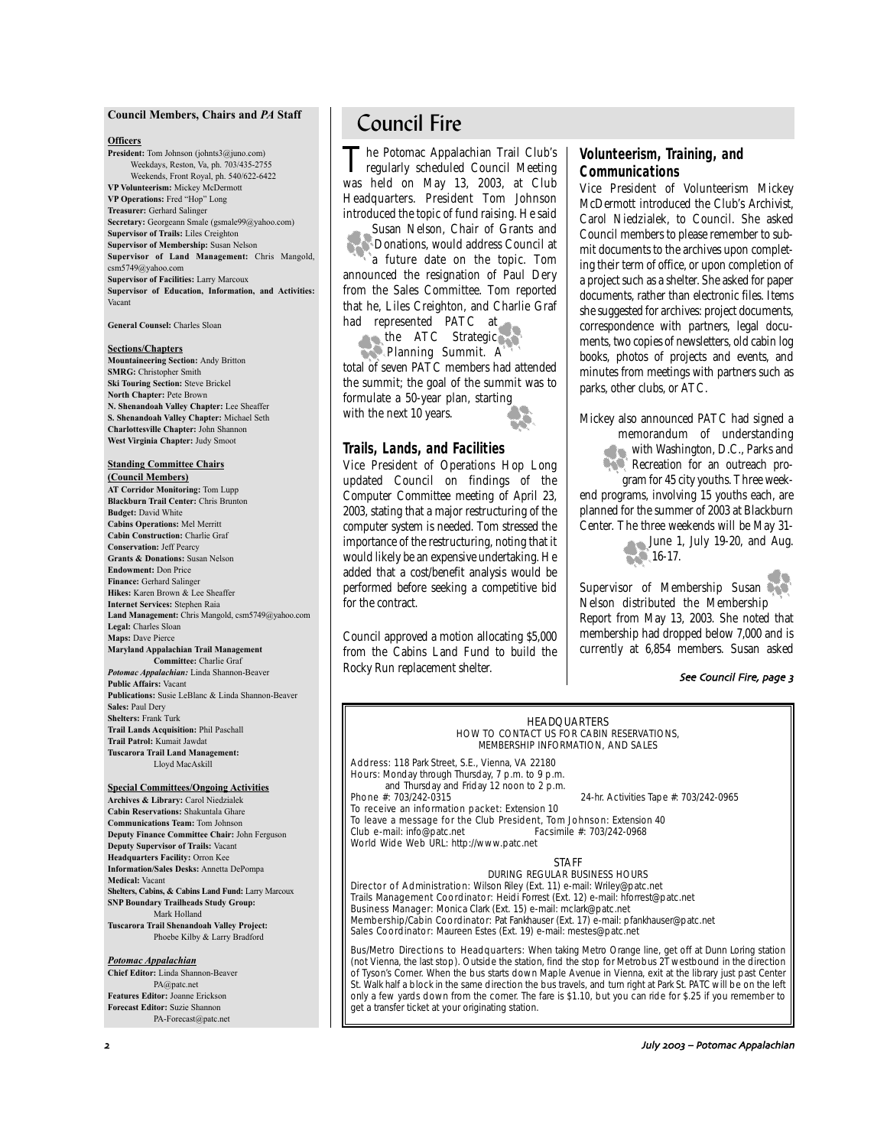#### **Council Members, Chairs and** *PA* **Staff**

#### **Officers**

**President:** Tom Johnson (johnts3@juno.com) Weekdays, Reston, Va, ph. 703/435-2755 Weekends, Front Royal, ph. 540/622-6422 **VP Volunteerism:** Mickey McDermott **VP Operations:** Fred "Hop" Long **Treasurer:** Gerhard Salinger **Secretary:** Georgeann Smale (gsmale99@yahoo.com) **Supervisor of Trails:** Liles Creighton **Supervisor of Membership:** Susan Nelson **Supervisor of Land Management:** Chris Mangold, csm5749@yahoo.com **Supervisor of Facilities:** Larry Marcoux **Supervisor of Education, Information, and Activities:** Vacant

**General Counsel:** Charles Sloan

#### **Sections/Chapters**

**Mountaineering Section:** Andy Britton **SMRG:** Christopher Smith **Ski Touring Section:** Steve Brickel **North Chapter:** Pete Brown **N. Shenandoah Valley Chapter:** Lee Sheaffer **S. Shenandoah Valley Chapter:** Michael Seth **Charlottesville Chapter:** John Shannon **West Virginia Chapter:** Judy Smoot

#### **Standing Committee Chairs (Council Members)**

**AT Corridor Monitoring:** Tom Lupp **Blackburn Trail Center:** Chris Brunton **Budget:** David White **Cabins Operations:** Mel Merritt **Cabin Construction:** Charlie Graf **Conservation:** Jeff Pearcy **Grants & Donations:** Susan Nelson **Endowment:** Don Price **Finance:** Gerhard Salinger **Hikes:** Karen Brown & Lee Sheaffer **Internet Services:** Stephen Raia **Land Management:** Chris Mangold, csm5749@yahoo.com **Legal:** Charles Sloan **Maps:** Dave Pierce **Maryland Appalachian Trail Management Committee:** Charlie Graf *Potomac Appalachian:* Linda Shannon-Beaver

**Public Affairs:** Vacant **Publications:** Susie LeBlanc & Linda Shannon-Beaver **Sales:** Paul Dery **Shelters:** Frank Turk **Trail Lands Acquisition:** Phil Paschall **Trail Patrol:** Kumait Jawdat **Tuscarora Trail Land Management:** Lloyd MacAskill

#### **Special Committees/Ongoing Activities**

**Archives & Library:** Carol Niedzialek **Cabin Reservations:** Shakuntala Ghare **Communications Team:** Tom Johnson **Deputy Finance Committee Chair:** John Ferguson **Deputy Supervisor of Trails:** Vacant **Headquarters Facility:** Orron Kee **Information/Sales Desks:** Annetta DePompa **Medical:** Vacant **Shelters, Cabins, & Cabins Land Fund:** Larry Marcoux **SNP Boundary Trailheads Study Group:** Mark Holland **Tuscarora Trail Shenandoah Valley Project:** Phoebe Kilby & Larry Bradford

#### *Potomac Appalachian*

**Chief Editor:** Linda Shannon-Beaver PA@patc.net **Features Editor:** Joanne Erickson **Forecast Editor:** Suzie Shannon PA-Forecast@patc.net

# Council Fire

The Potomac Appalachian Trail Club's<br>
regularly scheduled Council Meeting<br>
in the case of the case of the case was held on May 13, 2003, at Club Headquarters. President Tom Johnson introduced the topic of fund raising. He said

Susan Nelson, Chair of Grants and Donations, would address Council at a future date on the topic. Tom announced the resignation of Paul Dery from the Sales Committee. Tom reported that he, Liles Creighton, and Charlie Graf had represented PATC at

the ATC Strategic Planning Summit. A total of seven PATC members had attended the summit; the goal of the summit was to formulate a 50-year plan, starting with the next 10 years.

### **Trails, Lands, and Facilities**

Vice President of Operations Hop Long updated Council on findings of the Computer Committee meeting of April 23, 2003, stating that a major restructuring of the computer system is needed. Tom stressed the importance of the restructuring, noting that it would likely be an expensive undertaking. He added that a cost/benefit analysis would be performed before seeking a competitive bid for the contract.

Council approved a motion allocating \$5,000 from the Cabins Land Fund to build the Rocky Run replacement shelter.

### **Volunteerism, Training, and Communications**

Vice President of Volunteerism Mickey McDermott introduced the Club's Archivist, Carol Niedzialek, to Council. She asked Council members to please remember to submit documents to the archives upon completing their term of office, or upon completion of a project such as a shelter. She asked for paper documents, rather than electronic files. Items she suggested for archives: project documents, correspondence with partners, legal documents, two copies of newsletters, old cabin log books, photos of projects and events, and minutes from meetings with partners such as parks, other clubs, or ATC.

Mickey also announced PATC had signed a memorandum of understanding with Washington, D.C., Parks and Recreation for an outreach program for 45 city youths. Three week-

end programs, involving 15 youths each, are planned for the summer of 2003 at Blackburn Center. The three weekends will be May 31-

June 1, July 19-20, and Aug. **16-17.** 

Supervisor of Membership Susan Nelson distributed the Membership Report from May 13, 2003. She noted that membership had dropped below 7,000 and is currently at 6,854 members. Susan asked

### See Council Fire, page 3

#### HEADQUARTERS HOW TO CONTACT US FOR CABIN RESERVATIONS, MEMBERSHIP INFORMATION, AND SALES

Address: 118 Park Street, S.E., Vienna, VA 22180 Hours: Monday through Thursday, 7 p.m. to 9 p.m. and Thursday and Friday 12 noon to 2 p.m. **Phone #:** 703/242-0315 24-hr. Activities Tape #: 703/242-0965

To receive an information packet: Extension 10 To leave a message for the Club President, Tom Johnson: Extension 40 Club e-mail: info@patc.net Facsimile #: 703/242-0968 World Wide Web URL: http://www.patc.net

STAFF

#### DURING REGULAR BUSINESS HOURS

Director of Administration: Wilson Riley (Ext. 11) e-mail: Wriley@patc.net Trails Management Coordinator: Heidi Forrest (Ext. 12) e-mail: hforrest@patc.net Business Manager: Monica Clark (Ext. 15) e-mail: mclark@patc.net Membership/Cabin Coordinator: Pat Fankhauser (Ext. 17) e-mail: pfankhauser@patc.net Sales Coordinator: Maureen Estes (Ext. 19) e-mail: mestes@patc.net

Bus/Metro Directions to Headquarters: When taking Metro Orange line, get off at Dunn Loring station (not Vienna, the last stop). Outside the station, find the stop for Metrobus 2T westbound in the direction of Tyson's Corner. When the bus starts down Maple Avenue in Vienna, exit at the library just past Center St. Walk half a block in the same direction the bus travels, and turn right at Park St. PATC will be on the left only a few yards down from the corner. The fare is \$1.10, but you can ride for \$.25 if you remember to get a transfer ticket at your originating station.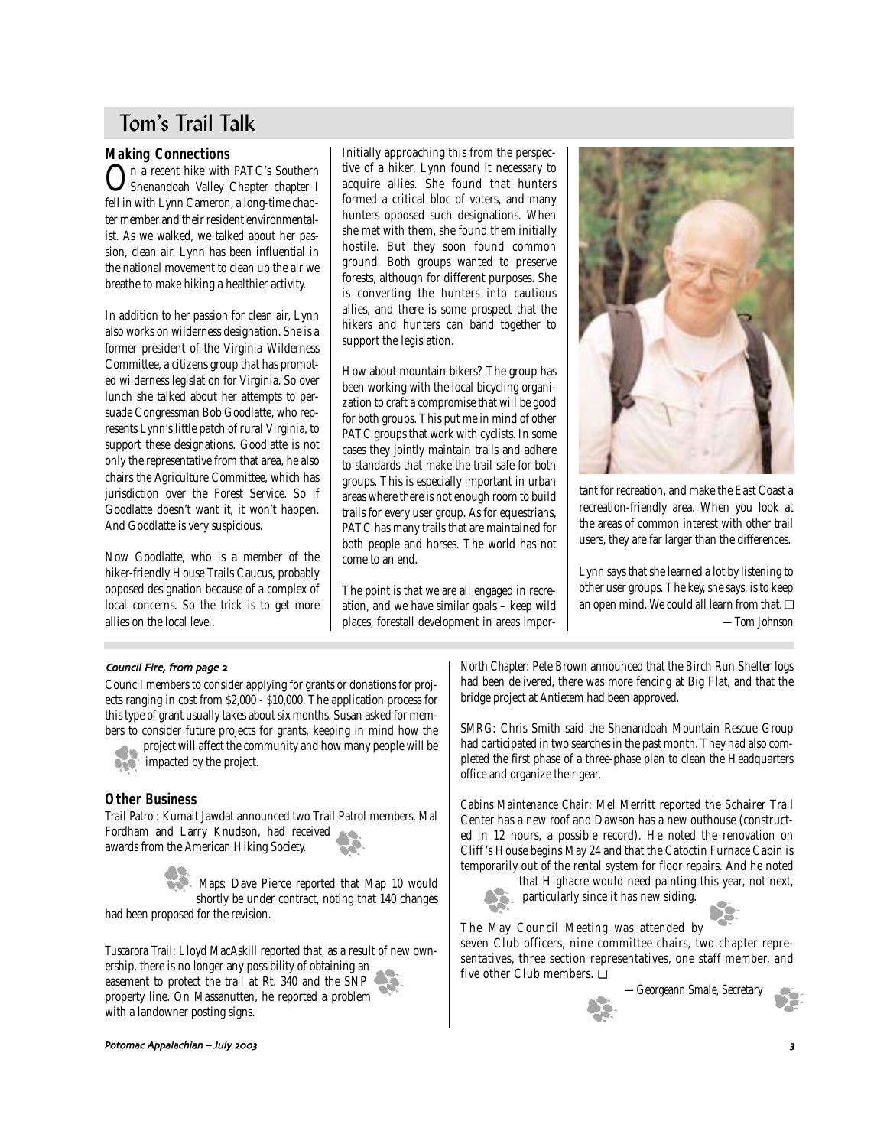# Tom's Trail Talk

## **Making Connections**

On a recent hike with PATC's Southern Shenandoah Valley Chapter chapter I fell in with Lynn Cameron, a long-time chapter member and their resident environmentalist. As we walked, we talked about her passion, clean air. Lynn has been influential in the national movement to clean up the air we breathe to make hiking a healthier activity.

In addition to her passion for clean air, Lynn also works on wilderness designation. She is a former president of the Virginia Wilderness Committee, a citizens group that has promoted wilderness legislation for Virginia. So over lunch she talked about her attempts to persuade Congressman Bob Goodlatte, who represents Lynn's little patch of rural Virginia, to support these designations. Goodlatte is not only the representative from that area, he also chairs the Agriculture Committee, which has jurisdiction over the Forest Service. So if Goodlatte doesn't want it, it won't happen. And Goodlatte is very suspicious.

Now Goodlatte, who is a member of the hiker-friendly House Trails Caucus, probably opposed designation because of a complex of local concerns. So the trick is to get more allies on the local level.

Initially approaching this from the perspective of a hiker, Lynn found it necessary to acquire allies. She found that hunters formed a critical bloc of voters, and many hunters opposed such designations. When she met with them, she found them initially hostile. But they soon found common ground. Both groups wanted to preserve forests, although for different purposes. She is converting the hunters into cautious allies, and there is some prospect that the hikers and hunters can band together to support the legislation.

How about mountain bikers? The group has been working with the local bicycling organization to craft a compromise that will be good for both groups. This put me in mind of other PATC groups that work with cyclists. In some cases they jointly maintain trails and adhere to standards that make the trail safe for both groups. This is especially important in urban areas where there is not enough room to build trails for every user group. As for equestrians, PATC has many trails that are maintained for both people and horses. The world has not come to an end.

The point is that we are all engaged in recreation, and we have similar goals – keep wild places, forestall development in areas impor-



tant for recreation, and make the East Coast a recreation-friendly area. When you look at the areas of common interest with other trail users, they are far larger than the differences.

Lynn says that she learned a lot by listening to other user groups. The key, she says, is to keep an open mind. We could all learn from that. ❏ *—Tom Johnson*

### Council Fire, from page 2

Council members to consider applying for grants or donations for projects ranging in cost from \$2,000 - \$10,000. The application process for this type of grant usually takes about six months. Susan asked for members to consider future projects for grants, keeping in mind how the

project will affect the community and how many people will be impacted by the project.

## **Other Business**

*Trail Patrol:* Kumait Jawdat announced two Trail Patrol members, Mal Fordham and Larry Knudson, had received awards from the American Hiking Society.

*Maps:* Dave Pierce reported that Map 10 would shortly be under contract, noting that 140 changes had been proposed for the revision.

*Tuscarora Trail:* Lloyd MacAskill reported that, as a result of new ownership, there is no longer any possibility of obtaining an easement to protect the trail at Rt. 340 and the SNP property line. On Massanutten, he reported a problem with a landowner posting signs.

*North Chapter:* Pete Brown announced that the Birch Run Shelter logs had been delivered, there was more fencing at Big Flat, and that the bridge project at Antietem had been approved.

*SMRG:* Chris Smith said the Shenandoah Mountain Rescue Group had participated in two searches in the past month. They had also completed the first phase of a three-phase plan to clean the Headquarters office and organize their gear.

*Cabins Maintenance Chair:* Mel Merritt reported the Schairer Trail Center has a new roof and Dawson has a new outhouse (constructed in 12 hours, a possible record). He noted the renovation on Cliff 's House begins May 24 and that the Catoctin Furnace Cabin is temporarily out of the rental system for floor repairs. And he noted

that Highacre would need painting this year, not next, particularly since it has new siding.

The May Council Meeting was attended by seven Club officers, nine committee chairs, two chapter representatives, three section representatives, one staff member, and five other Club members. ❏

*—Georgeann Smale, Secretary*

Potomac Appalachian – July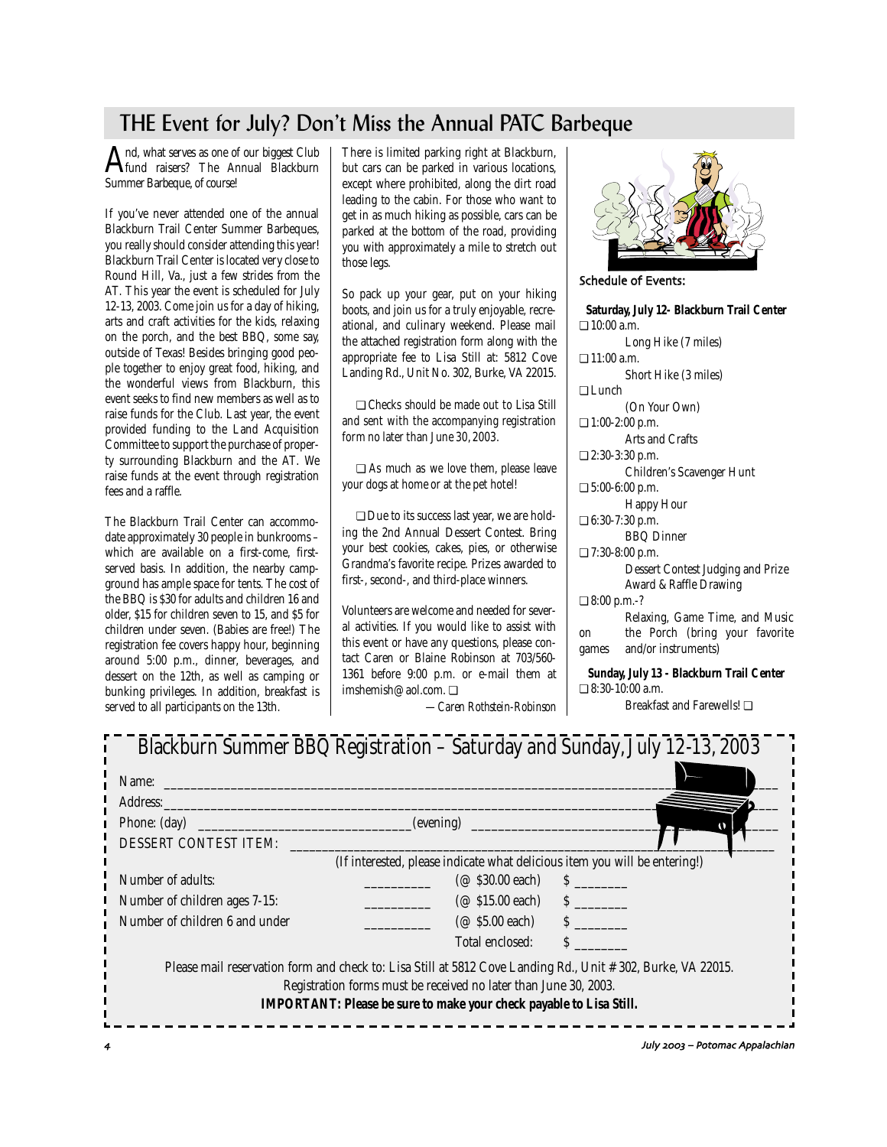# THE Event for July? Don't Miss the Annual PATC Barbeque

And, what serves as one of our biggest Club<br>Fund raisers? The Annual Blackburn Summer Barbeque, of course!

If you've never attended one of the annual Blackburn Trail Center Summer Barbeques, you really should consider attending this year! Blackburn Trail Center is located very close to Round Hill, Va., just a few strides from the AT. This year the event is scheduled for July 12-13, 2003. Come join us for a day of hiking, arts and craft activities for the kids, relaxing on the porch, and the best BBQ, some say, outside of Texas! Besides bringing good people together to enjoy great food, hiking, and the wonderful views from Blackburn, this event seeks to find new members as well as to raise funds for the Club. Last year, the event provided funding to the Land Acquisition Committee to support the purchase of property surrounding Blackburn and the AT. We raise funds at the event through registration fees and a raffle.

The Blackburn Trail Center can accommodate approximately 30 people in bunkrooms – which are available on a first-come, firstserved basis. In addition, the nearby campground has ample space for tents. The cost of the BBQ is \$30 for adults and children 16 and older, \$15 for children seven to 15, and \$5 for children under seven. (Babies are free!) The registration fee covers happy hour, beginning around 5:00 p.m., dinner, beverages, and dessert on the 12th, as well as camping or bunking privileges. In addition, breakfast is served to all participants on the 13th.

There is limited parking right at Blackburn, but cars can be parked in various locations, except where prohibited, along the dirt road leading to the cabin. For those who want to get in as much hiking as possible, cars can be parked at the bottom of the road, providing you with approximately a mile to stretch out those legs.

So pack up your gear, put on your hiking boots, and join us for a truly enjoyable, recreational, and culinary weekend. Please mail the attached registration form along with the appropriate fee to Lisa Still at: 5812 Cove Landing Rd., Unit No. 302, Burke, VA 22015.

❏ Checks should be made out to Lisa Still and sent with the accompanying registration form no later than June 30, 2003.

❏ As much as we love them, please leave your dogs at home or at the pet hotel!

❏ Due to its success last year, we are holding the 2nd Annual Dessert Contest. Bring your best cookies, cakes, pies, or otherwise Grandma's favorite recipe. Prizes awarded to first-, second-, and third-place winners.

Volunteers are welcome and needed for several activities. If you would like to assist with this event or have any questions, please contact Caren or Blaine Robinson at 703/560- 1361 before 9:00 p.m. or e-mail them at imshemish@aol.com. ❏



Schedule of Events:

**Saturday, July 12- Blackburn Trail Center** ❏ 10:00 a.m. Long Hike (7 miles) ❏ 11:00 a.m. Short Hike (3 miles) ❏ Lunch (On Your Own) ❏ 1:00-2:00 p.m. Arts and Crafts ❏ 2:30-3:30 p.m. Children's Scavenger Hunt ❏ 5:00-6:00 p.m. Happy Hour ❏ 6:30-7:30 p.m. BBQ Dinner ❏ 7:30-8:00 p.m. Dessert Contest Judging and Prize Award & Raffle Drawing ❏ 8:00 p.m.-? Relaxing, Game Time, and Music on the Porch (bring your favorite games and/or instruments) **Sunday, July 13 - Blackburn Trail Center** ❏ 8:30-10:00 a.m.

*—Caren Rothstein-Robinson* Breakfast and Farewells! ❏

| Name: $\qquad \qquad$          |                                                                                                                                                                                                                                                        |          |
|--------------------------------|--------------------------------------------------------------------------------------------------------------------------------------------------------------------------------------------------------------------------------------------------------|----------|
| Address:                       |                                                                                                                                                                                                                                                        |          |
| Phone: $(\text{day})$          | (evening)                                                                                                                                                                                                                                              |          |
| DESSERT CONTEST ITEM:          |                                                                                                                                                                                                                                                        |          |
|                                | (If interested, please indicate what delicious item you will be entering!)                                                                                                                                                                             |          |
| Number of adults:              | $(\textcircled{a}$ \$30.00 each) \$                                                                                                                                                                                                                    |          |
| Number of children ages 7-15:  | $(\textcircled{a} $15.00 \text{ each})$ $\textcircled{f}$                                                                                                                                                                                              |          |
| Number of children 6 and under | $(\textcircled{a}$ \$5.00 each) \$                                                                                                                                                                                                                     |          |
|                                | Total enclosed:                                                                                                                                                                                                                                        | $S \sim$ |
|                                | Please mail reservation form and check to: Lisa Still at 5812 Cove Landing Rd., Unit #302, Burke, VA 22015.<br>Registration forms must be received no later than June 30, 2003.<br>IMPORTANT: Please be sure to make your check payable to Lisa Still. |          |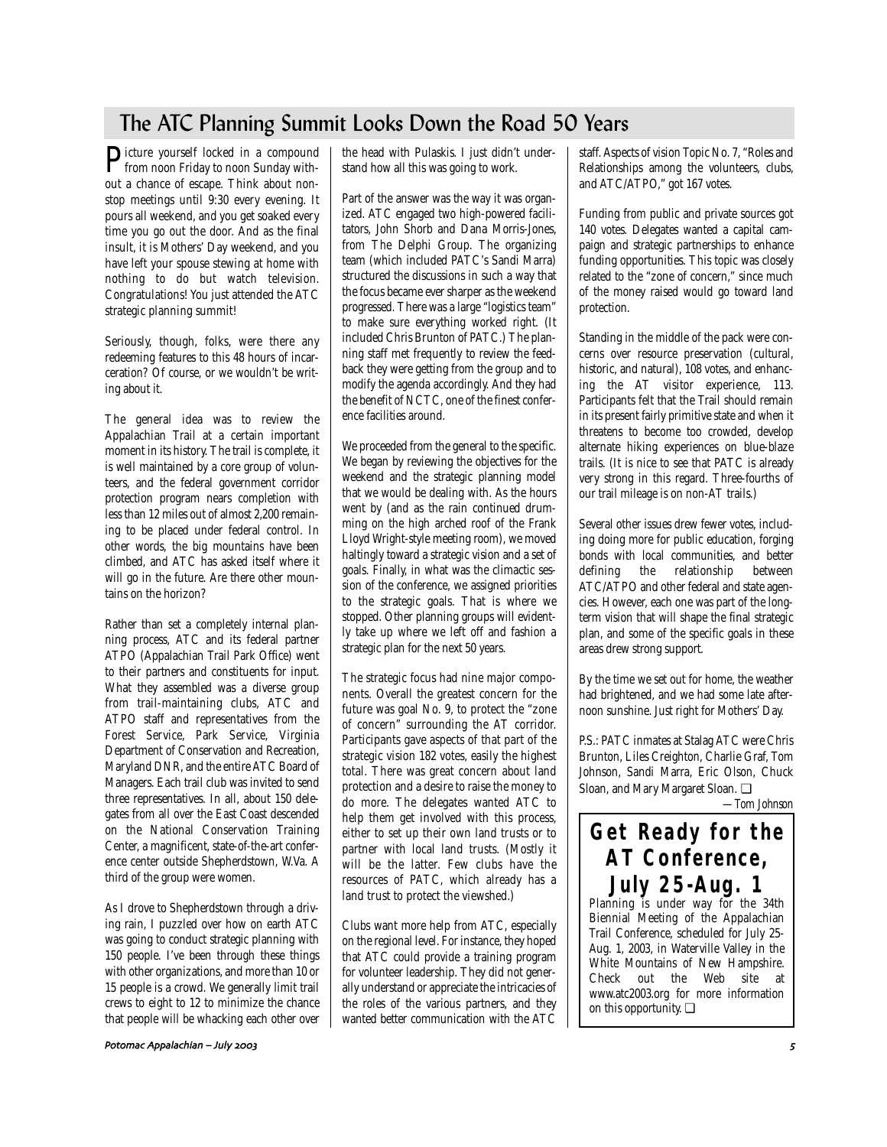# The ATC Planning Summit Looks Down the Road 50 Years

Picture yourself locked in a compound from noon Friday to noon Sunday without a chance of escape. Think about nonstop meetings until 9:30 every evening. It pours all weekend, and you get soaked every time you go out the door. And as the final insult, it is Mothers' Day weekend, and you have left your spouse stewing at home with nothing to do but watch television. Congratulations! You just attended the ATC strategic planning summit!

Seriously, though, folks, were there any redeeming features to this 48 hours of incarceration? Of course, or we wouldn't be writing about it.

The general idea was to review the Appalachian Trail at a certain important moment in its history. The trail is complete, it is well maintained by a core group of volunteers, and the federal government corridor protection program nears completion with less than 12 miles out of almost 2,200 remaining to be placed under federal control. In other words, the big mountains have been climbed, and ATC has asked itself where it will go in the future. Are there other mountains on the horizon?

Rather than set a completely internal planning process, ATC and its federal partner ATPO (Appalachian Trail Park Office) went to their partners and constituents for input. What they assembled was a diverse group from trail-maintaining clubs, ATC and ATPO staff and representatives from the Forest Service, Park Service, Virginia Department of Conservation and Recreation, Maryland DNR, and the entire ATC Board of Managers. Each trail club was invited to send three representatives. In all, about 150 delegates from all over the East Coast descended on the National Conservation Training Center, a magnificent, state-of-the-art conference center outside Shepherdstown, W.Va. A third of the group were women.

As I drove to Shepherdstown through a driving rain, I puzzled over how on earth ATC was going to conduct strategic planning with 150 people. I've been through these things with other organizations, and more than 10 or 15 people is a crowd. We generally limit trail crews to eight to 12 to minimize the chance that people will be whacking each other over the head with Pulaskis. I just didn't understand how all this was going to work.

Part of the answer was the way it was organized. ATC engaged two high-powered facilitators, John Shorb and Dana Morris-Jones, from The Delphi Group. The organizing team (which included PATC's Sandi Marra) structured the discussions in such a way that the focus became ever sharper as the weekend progressed. There was a large "logistics team" to make sure everything worked right. (It included Chris Brunton of PATC.) The planning staff met frequently to review the feedback they were getting from the group and to modify the agenda accordingly. And they had the benefit of NCTC, one of the finest conference facilities around.

We proceeded from the general to the specific. We began by reviewing the objectives for the weekend and the strategic planning model that we would be dealing with. As the hours went by (and as the rain continued drumming on the high arched roof of the Frank Lloyd Wright-style meeting room), we moved haltingly toward a strategic vision and a set of goals. Finally, in what was the climactic session of the conference, we assigned priorities to the strategic goals. That is where we stopped. Other planning groups will evidently take up where we left off and fashion a strategic plan for the next 50 years.

The strategic focus had nine major components. Overall the greatest concern for the future was goal No. 9, to protect the "zone of concern" surrounding the AT corridor. Participants gave aspects of that part of the strategic vision 182 votes, easily the highest total. There was great concern about land protection and a desire to raise the money to do more. The delegates wanted ATC to help them get involved with this process, either to set up their own land trusts or to partner with local land trusts. (Mostly it will be the latter. Few clubs have the resources of PATC, which already has a land trust to protect the viewshed.)

Clubs want more help from ATC, especially on the regional level. For instance, they hoped that ATC could provide a training program for volunteer leadership. They did not generally understand or appreciate the intricacies of the roles of the various partners, and they wanted better communication with the ATC staff. Aspects of vision Topic No. 7, "Roles and Relationships among the volunteers, clubs, and ATC/ATPO," got 167 votes.

Funding from public and private sources got 140 votes. Delegates wanted a capital campaign and strategic partnerships to enhance funding opportunities. This topic was closely related to the "zone of concern," since much of the money raised would go toward land protection.

Standing in the middle of the pack were concerns over resource preservation (cultural, historic, and natural), 108 votes, and enhancing the AT visitor experience, 113. Participants felt that the Trail should remain in its present fairly primitive state and when it threatens to become too crowded, develop alternate hiking experiences on blue-blaze trails. (It is nice to see that PATC is already very strong in this regard. Three-fourths of our trail mileage is on non-AT trails.)

Several other issues drew fewer votes, including doing more for public education, forging bonds with local communities, and better<br>defining the relationship between defining the relationship ATC/ATPO and other federal and state agencies. However, each one was part of the longterm vision that will shape the final strategic plan, and some of the specific goals in these areas drew strong support.

By the time we set out for home, the weather had brightened, and we had some late afternoon sunshine. Just right for Mothers' Day.

P.S.: PATC inmates at Stalag ATC were Chris Brunton, Liles Creighton, Charlie Graf, Tom Johnson, Sandi Marra, Eric Olson, Chuck Sloan, and Mary Margaret Sloan. ❏

*—Tom Johnson*

# **Get Ready for the AT Conference, July 25-Aug. 1** Planning is under way for the 34th

Biennial Meeting of the Appalachian Trail Conference, scheduled for July 25- Aug. 1, 2003, in Waterville Valley in the White Mountains of New Hampshire. Check out the Web site at www.atc2003.org for more information on this opportunity. ❏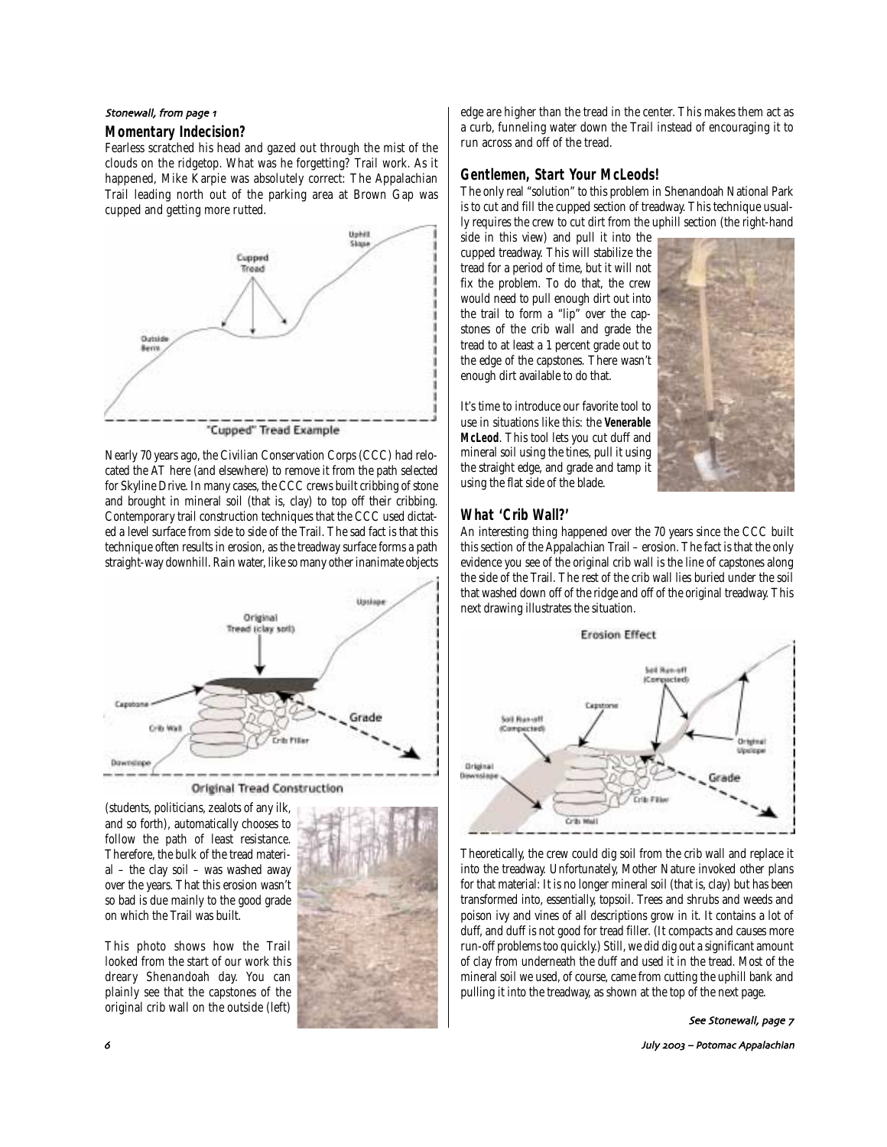#### Stonewall, from page 1

#### **Momentary Indecision?**

Fearless scratched his head and gazed out through the mist of the clouds on the ridgetop. What was he forgetting? Trail work. As it happened, Mike Karpie was absolutely correct: The Appalachian Trail leading north out of the parking area at Brown Gap was cupped and getting more rutted.



Nearly 70 years ago, the Civilian Conservation Corps (CCC) had relocated the AT here (and elsewhere) to remove it from the path selected for Skyline Drive. In many cases, the CCC crews built cribbing of stone and brought in mineral soil (that is, clay) to top off their cribbing. Contemporary trail construction techniques that the CCC used dictated a level surface from side to side of the Trail. The sad fact is that this technique often results in erosion, as the treadway surface forms a path straight-way downhill. Rain water, like so many other inanimate objects



**Original Tread Construction** 

(students, politicians, zealots of any ilk, and so forth), automatically chooses to follow the path of least resistance. Therefore, the bulk of the tread material – the clay soil – was washed away over the years. That this erosion wasn't so bad is due mainly to the good grade on which the Trail was built.

This photo shows how the Trail looked from the start of our work this dreary Shenandoah day. You can plainly see that the capstones of the original crib wall on the outside (left)



edge are higher than the tread in the center. This makes them act as a curb, funneling water down the Trail instead of encouraging it to run across and off of the tread.

### **Gentlemen, Start Your McLeods!**

The only real "solution" to this problem in Shenandoah National Park is to cut and fill the cupped section of treadway. This technique usually requires the crew to cut dirt from the uphill section (the right-hand

side in this view) and pull it into the cupped treadway. This will stabilize the tread for a period of time, but it will not fix the problem. To do that, the crew would need to pull enough dirt out into the trail to form a "lip" over the capstones of the crib wall and grade the tread to at least a 1 percent grade out to the edge of the capstones. There wasn't enough dirt available to do that.

It's time to introduce our favorite tool to use in situations like this: the **Venerable McLeod**. This tool lets you cut duff and mineral soil using the tines, pull it using the straight edge, and grade and tamp it using the flat side of the blade.



### **What 'Crib Wall?'**

An interesting thing happened over the 70 years since the CCC built this section of the Appalachian Trail – erosion. The fact is that the only evidence you see of the original crib wall is the line of capstones along the side of the Trail. The rest of the crib wall lies buried under the soil that washed down off of the ridge and off of the original treadway. This next drawing illustrates the situation.



Theoretically, the crew could dig soil from the crib wall and replace it into the treadway. Unfortunately, Mother Nature invoked other plans for that material: It is no longer mineral soil (that is, clay) but has been transformed into, essentially, topsoil. Trees and shrubs and weeds and poison ivy and vines of all descriptions grow in it. It contains a lot of duff, and duff is not good for tread filler. (It compacts and causes more run-off problems too quickly.) Still, we did dig out a significant amount of clay from underneath the duff and used it in the tread. Most of the mineral soil we used, of course, came from cutting the uphill bank and pulling it into the treadway, as shown at the top of the next page.

### See Stonewall, page 7

July – Potomac Appalachian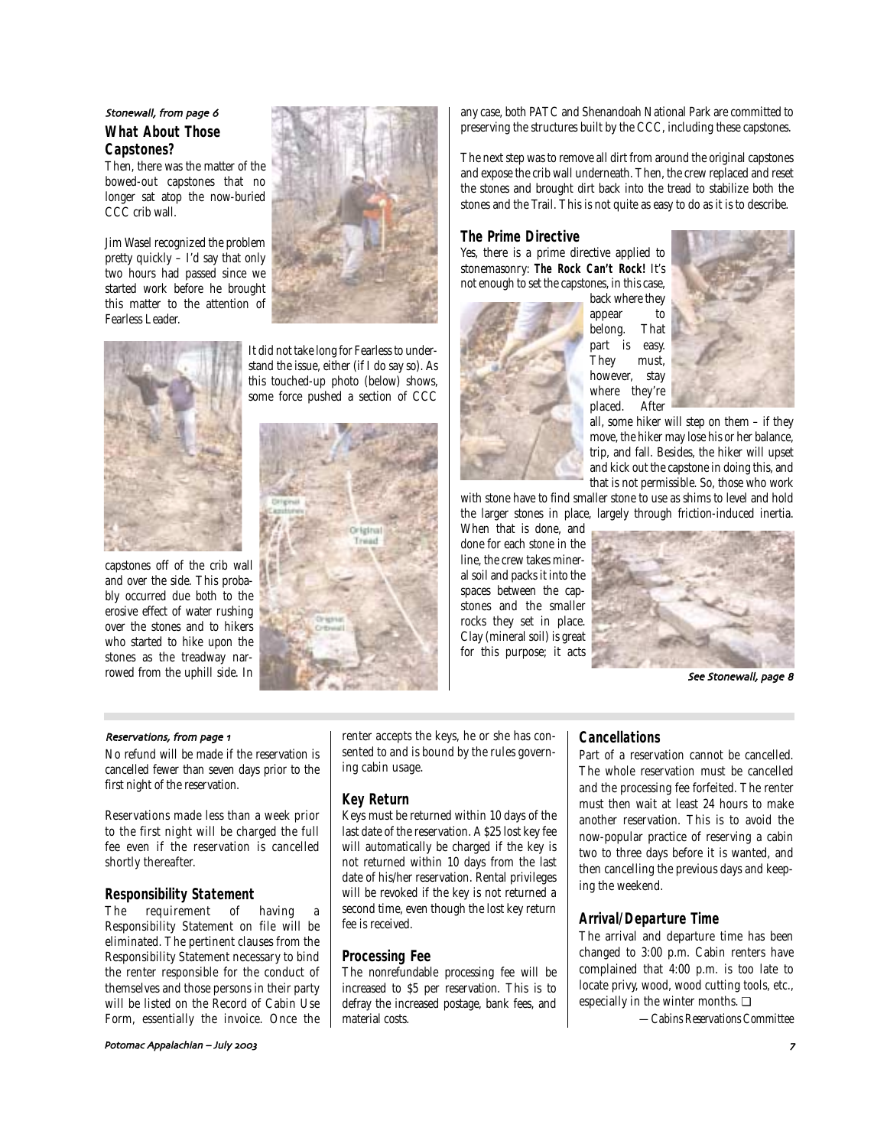# **What About Those Capstones?** Stonewall, from page 6

Then, there was the matter of the bowed-out capstones that no longer sat atop the now-buried CCC crib wall.

Jim Wasel recognized the problem pretty quickly – I'd say that only two hours had passed since we started work before he brought this matter to the attention of Fearless Leader.



capstones off of the crib wall and over the side. This probably occurred due both to the erosive effect of water rushing over the stones and to hikers who started to hike upon the stones as the treadway narrowed from the uphill side. In

It did not take long for Fearless to understand the issue, either (if I do say so). As this touched-up photo (below) shows, some force pushed a section of CCC



any case, both PATC and Shenandoah National Park are committed to preserving the structures built by the CCC, including these capstones.

The next step was to remove all dirt from around the original capstones and expose the crib wall underneath. Then, the crew replaced and reset the stones and brought dirt back into the tread to stabilize both the stones and the Trail. This is not quite as easy to do as it is to describe.

### **The Prime Directive**

Yes, there is a prime directive applied to stonemasonry: **The Rock Can't Rock!** It's not enough to set the capstones, in this case,



back where they appear to belong. That part is easy. They must, however, stay where they're<br>placed. After placed.



all, some hiker will step on them – if they move, the hiker may lose his or her balance, trip, and fall. Besides, the hiker will upset and kick out the capstone in doing this, and that is not permissible. So, those who work

with stone have to find smaller stone to use as shims to level and hold the larger stones in place, largely through friction-induced inertia.

When that is done, and done for each stone in the line, the crew takes mineral soil and packs it into the spaces between the capstones and the smaller rocks they set in place. Clay (mineral soil) is great for this purpose; it acts



See Stonewall, page 8

#### Reservations, from page 1

No refund will be made if the reservation is cancelled fewer than seven days prior to the first night of the reservation.

Reservations made less than a week prior to the first night will be charged the full fee even if the reservation is cancelled shortly thereafter.

# **Responsibility Statement**<br>The requirement of

requirement of having a Responsibility Statement on file will be eliminated. The pertinent clauses from the Responsibility Statement necessary to bind the renter responsible for the conduct of themselves and those persons in their party will be listed on the Record of Cabin Use Form, essentially the invoice. Once the

Potomac Appalachian – July

renter accepts the keys, he or she has consented to and is bound by the rules governing cabin usage.

#### **Key Return**

Keys must be returned within 10 days of the last date of the reservation. A \$25 lost key fee will automatically be charged if the key is not returned within 10 days from the last date of his/her reservation. Rental privileges will be revoked if the key is not returned a second time, even though the lost key return fee is received.

# **Processing Fee**

The nonrefundable processing fee will be increased to \$5 per reservation. This is to defray the increased postage, bank fees, and material costs.

#### **Cancellations**

Part of a reservation cannot be cancelled. The whole reservation must be cancelled and the processing fee forfeited. The renter must then wait at least 24 hours to make another reservation. This is to avoid the now-popular practice of reserving a cabin two to three days before it is wanted, and then cancelling the previous days and keeping the weekend.

#### **Arrival/Departure Time**

The arrival and departure time has been changed to 3:00 p.m. Cabin renters have complained that 4:00 p.m. is too late to locate privy, wood, wood cutting tools, etc., especially in the winter months. ❏

*—Cabins Reservations Committee*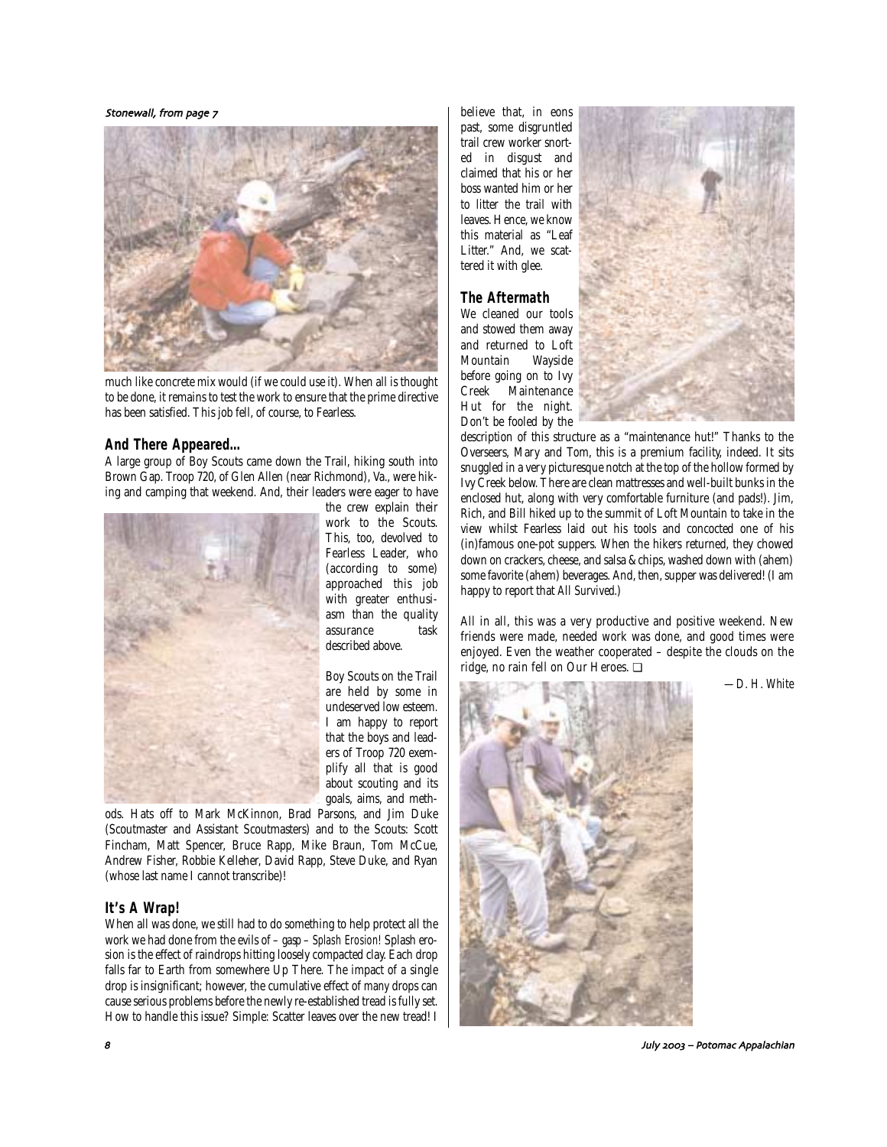Stonewall, from page 7



much like concrete mix would (if we could use it). When all is thought to be done, it remains to test the work to ensure that the prime directive has been satisfied. This job fell, of course, to Fearless.

### **And There Appeared…**

A large group of Boy Scouts came down the Trail, hiking south into Brown Gap. Troop 720, of Glen Allen (near Richmond), Va., were hiking and camping that weekend. And, their leaders were eager to have



the crew explain their work to the Scouts. This, too, devolved to Fearless Leader, who (according to some) approached this job with greater enthusiasm than the quality assurance task described above.

Boy Scouts on the Trail are held by some in undeserved low esteem. I am happy to report that the boys and leaders of Troop 720 exemplify all that is good about scouting and its goals, aims, and meth-

ods. Hats off to Mark McKinnon, Brad Parsons, and Jim Duke (Scoutmaster and Assistant Scoutmasters) and to the Scouts: Scott Fincham, Matt Spencer, Bruce Rapp, Mike Braun, Tom McCue, Andrew Fisher, Robbie Kelleher, David Rapp, Steve Duke, and Ryan (whose last name I cannot transcribe)!

### **It's A Wrap!**

When all was done, we still had to do something to help protect all the work we had done from the evils of – *gasp* – Splash Erosion! Splash erosion is the effect of raindrops hitting loosely compacted clay. Each drop falls far to Earth from somewhere Up There. The impact of a single drop is insignificant; however, the cumulative effect of *many* drops can cause serious problems before the newly re-established tread is fully set. How to handle this issue? Simple: Scatter leaves over the new tread! I believe that, in eons past, some disgruntled trail crew worker snorted in disgust and claimed that his or her boss wanted him or her to litter the trail with leaves. Hence, we know this material as "Leaf Litter." And, we scattered it with glee.

# **The Aftermath**

We cleaned our tools and stowed them away and returned to Loft Mountain Wayside before going on to Ivy<br>Creek Maintenance Maintenance Hut for the night. Don't be fooled by the



description of this structure as a "maintenance hut!" Thanks to the Overseers, Mary and Tom, this is a premium facility, indeed. It sits snuggled in a very picturesque notch at the top of the hollow formed by Ivy Creek below. There are clean mattresses and well-built bunks in the enclosed hut, along with very comfortable furniture (and pads!). Jim, Rich, and Bill hiked up to the summit of Loft Mountain to take in the view whilst Fearless laid out his tools and concocted one of his (in)famous one-pot suppers. When the hikers returned, they chowed down on crackers, cheese, and salsa & chips, washed down with (ahem) some favorite (ahem) beverages. And, then, supper was delivered! (I am happy to report that *All Survived.*)

All in all, this was a very productive and positive weekend. New friends were made, needed work was done, and good times were enjoyed. Even the weather cooperated – despite the clouds on the ridge, no rain fell on Our Heroes. ❏

*—D. H. White*



) July – Potomac Appalachian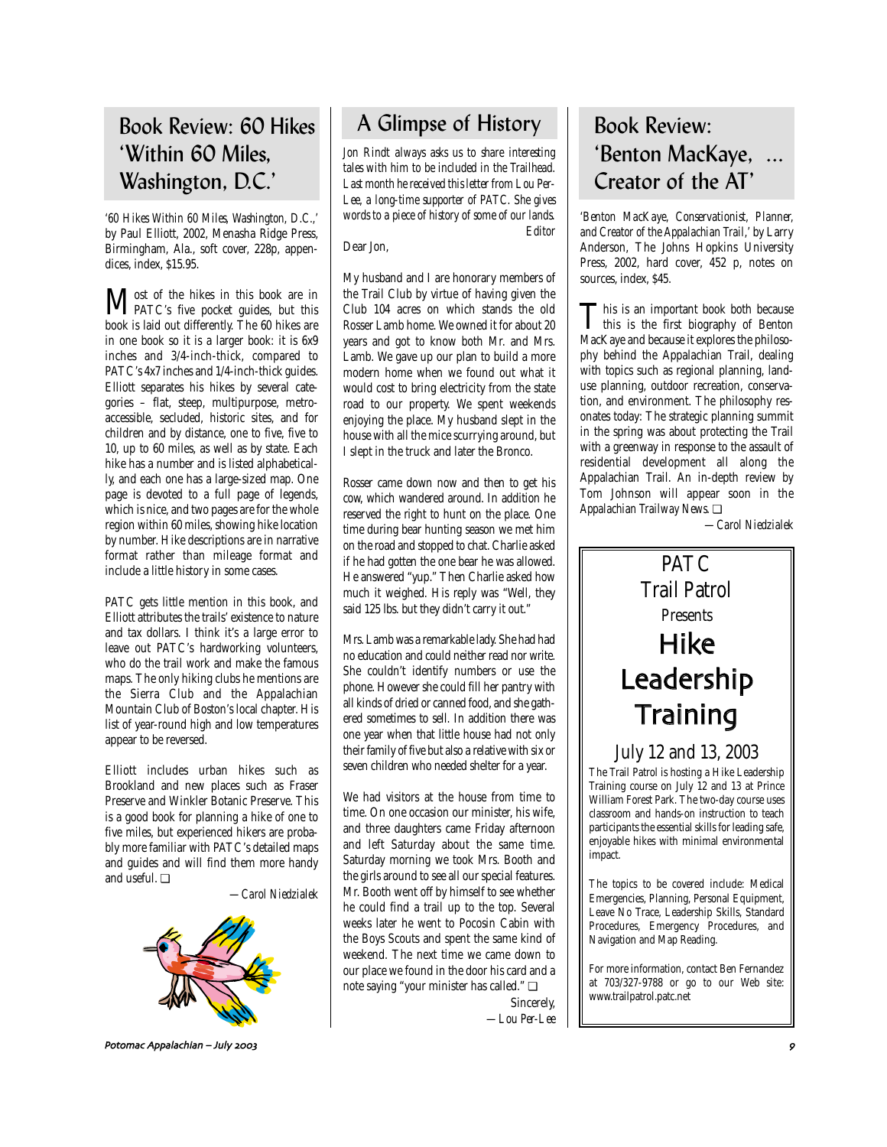# Book Review: 60 Hikes 'Within 60 Miles, Washington, D.C.'

*'60 Hikes Within 60 Miles, Washington, D.C.,'* by Paul Elliott, 2002, Menasha Ridge Press, Birmingham, Ala., soft cover, 228p, appendices, index, \$15.95.

Most of the hikes in this book are in<br>PATC's five pocket guides, but this book is laid out differently. The 60 hikes are in one book so it is a larger book: it is 6x9 inches and 3/4-inch-thick, compared to PATC's 4x7 inches and 1/4-inch-thick guides. Elliott separates his hikes by several categories – flat, steep, multipurpose, metroaccessible, secluded, historic sites, and for children and by distance, one to five, five to 10, up to 60 miles, as well as by state. Each hike has a number and is listed alphabetically, and each one has a large-sized map. One page is devoted to a full page of legends, which is nice, and two pages are for the whole region within 60 miles, showing hike location by number. Hike descriptions are in narrative format rather than mileage format and include a little history in some cases.

PATC gets little mention in this book, and Elliott attributes the trails' existence to nature and tax dollars. I think it's a large error to leave out PATC's hardworking volunteers, who do the trail work and make the famous maps. The only hiking clubs he mentions are the Sierra Club and the Appalachian Mountain Club of Boston's local chapter. His list of year-round high and low temperatures appear to be reversed.

Elliott includes urban hikes such as Brookland and new places such as Fraser Preserve and Winkler Botanic Preserve. This is a good book for planning a hike of one to five miles, but experienced hikers are probably more familiar with PATC's detailed maps and guides and will find them more handy and useful. ❏

*—Carol Niedzialek*



Potomac Appalachian – July \*

# A Glimpse of History

*Jon Rindt always asks us to share interesting tales with him to be included in the Trailhead. Last month he received this letter from Lou Per-Lee, a long-time supporter of PATC. She gives words to a piece of history of some of our lands. Editor*

#### Dear Jon,

My husband and I are honorary members of the Trail Club by virtue of having given the Club 104 acres on which stands the old Rosser Lamb home. We owned it for about 20 years and got to know both Mr. and Mrs. Lamb. We gave up our plan to build a more modern home when we found out what it would cost to bring electricity from the state road to our property. We spent weekends enjoying the place. My husband slept in the house with all the mice scurrying around, but I slept in the truck and later the Bronco.

Rosser came down now and then to get his cow, which wandered around. In addition he reserved the right to hunt on the place. One time during bear hunting season we met him on the road and stopped to chat. Charlie asked if he had gotten the one bear he was allowed. He answered "yup." Then Charlie asked how much it weighed. His reply was "Well, they said 125 lbs. but they didn't carry it out."

Mrs. Lamb was a remarkable lady. She had had no education and could neither read nor write. She couldn't identify numbers or use the phone. However she could fill her pantry with all kinds of dried or canned food, and she gathered sometimes to sell. In addition there was one year when that little house had not only their family of five but also a relative with six or seven children who needed shelter for a year.

We had visitors at the house from time to time. On one occasion our minister, his wife, and three daughters came Friday afternoon and left Saturday about the same time. Saturday morning we took Mrs. Booth and the girls around to see all our special features. Mr. Booth went off by himself to see whether he could find a trail up to the top. Several weeks later he went to Pocosin Cabin with the Boys Scouts and spent the same kind of weekend. The next time we came down to our place we found in the door his card and a note saying "your minister has called." ❏

> Sincerely, *—Lou Per-Lee*

# Book Review: 'Benton MacKaye, ... Creator of the AT'

*'Benton MacKaye, Conservationist, Planner, and Creator of the Appalachian Trail,'* by Larry Anderson, The Johns Hopkins University Press, 2002, hard cover, 452 p, notes on sources, index, \$45.

This is an important book both because<br>this is the first biography of Benton<br>Meet was allowed it well as the ability MacKaye and because it explores the philosophy behind the Appalachian Trail, dealing with topics such as regional planning, landuse planning, outdoor recreation, conservation, and environment. The philosophy resonates today: The strategic planning summit in the spring was about protecting the Trail with a greenway in response to the assault of residential development all along the Appalachian Trail. An in-depth review by Tom Johnson will appear soon in the *Appalachian Trailway News*. ❏

*—Carol Niedzialek*

# PATC Trail Patrol Presents Hike Leadership **Training**

# July 12 and 13, 2003

The Trail Patrol is hosting a Hike Leadership Training course on July 12 and 13 at Prince William Forest Park. The two-day course uses classroom and hands-on instruction to teach participants the essential skills for leading safe, enjoyable hikes with minimal environmental impact.

The topics to be covered include: Medical Emergencies, Planning, Personal Equipment, Leave No Trace, Leadership Skills, Standard Procedures, Emergency Procedures, and Navigation and Map Reading.

For more information, contact Ben Fernandez at 703/327-9788 or go to our Web site: www.trailpatrol.patc.net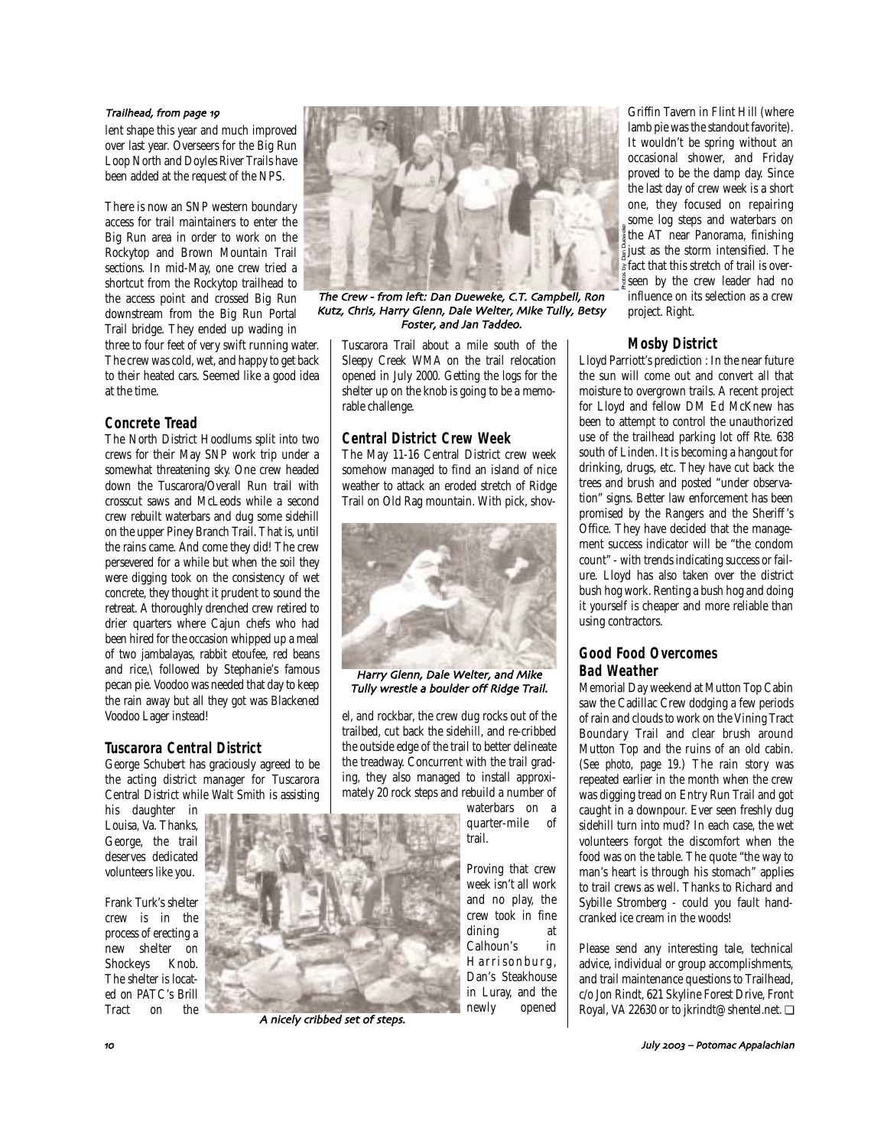#### Trailhead, from page 19

lent shape this year and much improved over last year. Overseers for the Big Run Loop North and Doyles River Trails have been added at the request of the NPS.

There is now an SNP western boundary access for trail maintainers to enter the Big Run area in order to work on the Rockytop and Brown Mountain Trail sections. In mid-May, one crew tried a shortcut from the Rockytop trailhead to the access point and crossed Big Run downstream from the Big Run Portal Trail bridge. They ended up wading in

three to four feet of very swift running water. The crew was cold, wet, and happy to get back to their heated cars. Seemed like a good idea at the time.

### **Concrete Tread**

The North District Hoodlums split into two crews for their May SNP work trip under a somewhat threatening sky. One crew headed down the Tuscarora/Overall Run trail with crosscut saws and McLeods while a second crew rebuilt waterbars and dug some sidehill on the upper Piney Branch Trail. That is, until the rains came. And come they did! The crew persevered for a while but when the soil they were digging took on the consistency of wet concrete, they thought it prudent to sound the retreat. A thoroughly drenched crew retired to drier quarters where Cajun chefs who had been hired for the occasion whipped up a meal of two jambalayas, rabbit etoufee, red beans and rice,\ followed by Stephanie's famous pecan pie. Voodoo was needed that day to keep the rain away but all they got was Blackened Voodoo Lager instead!

### **Tuscarora Central District**

George Schubert has graciously agreed to be the acting district manager for Tuscarora Central District while Walt Smith is assisting

his daughter in Louisa, Va. Thanks, George, the trail deserves dedicated volunteers like you.

Frank Turk's shelter crew is in the process of erecting a new shelter on Shockeys Knob. The shelter is located on PATC's Brill Tract



The Crew - from left: Dan Dueweke, C.T. Campbell, Ron Kutz
 Chris
 Harry Glenn
 Dale Welter
 Mike Tully
 Betsy Foster, and Jan Taddeo.

Tuscarora Trail about a mile south of the Sleepy Creek WMA on the trail relocation opened in July 2000. Getting the logs for the shelter up on the knob is going to be a memorable challenge.

### **Central District Crew Week**

The May 11-16 Central District crew week somehow managed to find an island of nice weather to attack an eroded stretch of Ridge Trail on Old Rag mountain. With pick, shov-



Harry Glenn, Dale Welter, and Mike Tully wrestle a boulder off Ridge Trail.

el, and rockbar, the crew dug rocks out of the trailbed, cut back the sidehill, and re-cribbed the outside edge of the trail to better delineate the treadway. Concurrent with the trail grading, they also managed to install approximately 20 rock steps and rebuild a number of

> waterbars on a quarter-mile of trail.

Proving that crew week isn't all work and no play, the crew took in fine dining at Calhoun's in Harrisonburg, Dan's Steakhouse in Luray, and the newly opened

Griffin Tavern in Flint Hill (where lamb pie was the standout favorite). It wouldn't be spring without an occasional shower, and Friday proved to be the damp day. Since the last day of crew week is a short one, they focused on repairing some log steps and waterbars on the AT near Panorama, finishing just as the storm intensified. The fact that this stretch of trail is overseen by the crew leader had no influence on its selection as a crew project. Right. Photos by Dan Dueweke

## **Mosby District**

Lloyd Parriott's prediction : In the near future the sun will come out and convert all that moisture to overgrown trails. A recent project for Lloyd and fellow DM Ed McKnew has been to attempt to control the unauthorized use of the trailhead parking lot off Rte. 638 south of Linden. It is becoming a hangout for drinking, drugs, etc. They have cut back the trees and brush and posted "under observation" signs. Better law enforcement has been promised by the Rangers and the Sheriff 's Office. They have decided that the management success indicator will be "the condom count" - with trends indicating success or failure. Lloyd has also taken over the district bush hog work. Renting a bush hog and doing it yourself is cheaper and more reliable than using contractors.

# **Good Food Overcomes Bad Weather**

Memorial Day weekend at Mutton Top Cabin saw the Cadillac Crew dodging a few periods of rain and clouds to work on the Vining Tract Boundary Trail and clear brush around Mutton Top and the ruins of an old cabin. (*See photo, page 19.*) The rain story was repeated earlier in the month when the crew was digging tread on Entry Run Trail and got caught in a downpour. Ever seen freshly dug sidehill turn into mud? In each case, the wet volunteers forgot the discomfort when the food was on the table. The quote "the way to man's heart is through his stomach" applies to trail crews as well. Thanks to Richard and Sybille Stromberg - could you fault handcranked ice cream in the woods!

Please send any interesting tale, technical advice, individual or group accomplishments, and trail maintenance questions to Trailhead, c/o Jon Rindt, 621 Skyline Forest Drive, Front Royal, VA 22630 or to jkrindt@shentel.net. ❏



A nicely cribbed set of steps.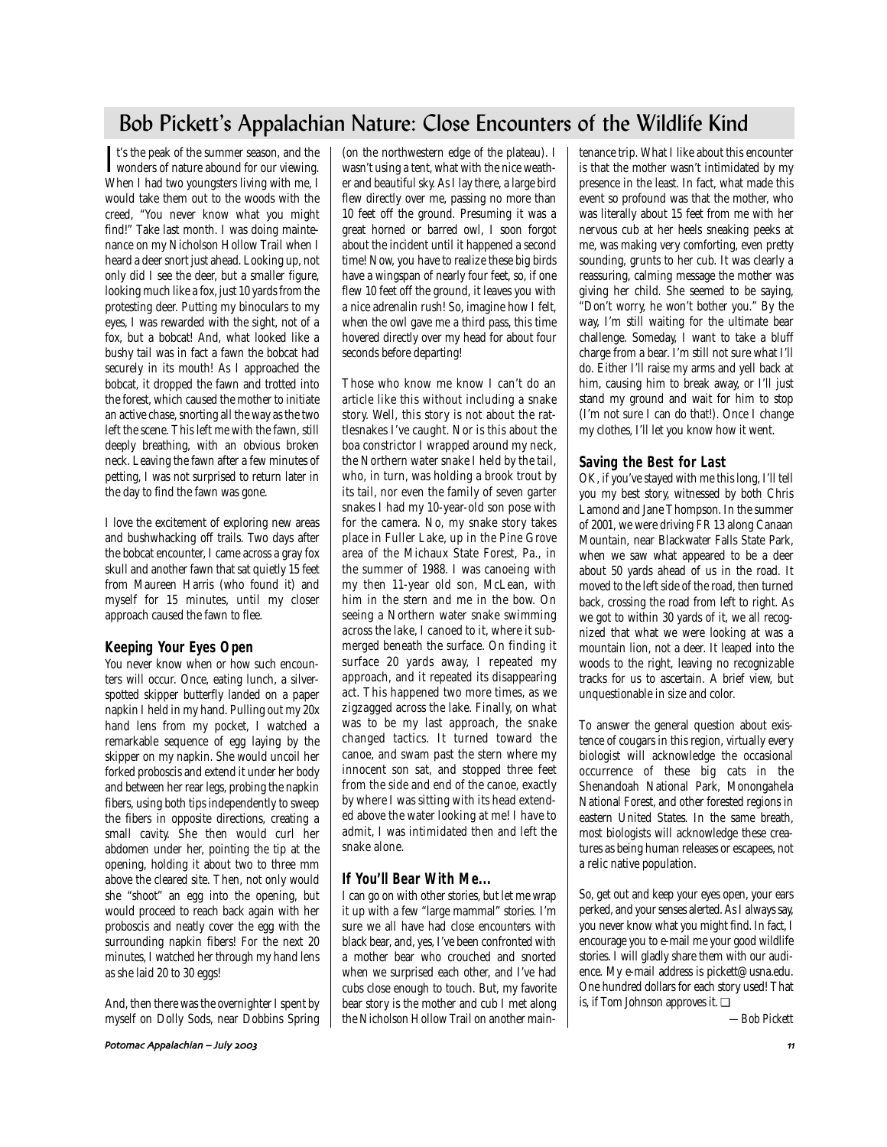# Bob Pickett's Appalachian Nature: Close Encounters of the Wildlife Kind

It's the peak of the summer season, and the<br>wonders of nature abound for our viewing. It's the peak of the summer season, and the When I had two youngsters living with me, I would take them out to the woods with the creed, "You never know what you might find!" Take last month. I was doing maintenance on my Nicholson Hollow Trail when I heard a deer snort just ahead. Looking up, not only did I see the deer, but a smaller figure, looking much like a fox, just 10 yards from the protesting deer. Putting my binoculars to my eyes, I was rewarded with the sight, not of a fox, but a bobcat! And, what looked like a bushy tail was in fact a fawn the bobcat had securely in its mouth! As I approached the bobcat, it dropped the fawn and trotted into the forest, which caused the mother to initiate an active chase, snorting all the way as the two left the scene. This left me with the fawn, still deeply breathing, with an obvious broken neck. Leaving the fawn after a few minutes of petting, I was not surprised to return later in the day to find the fawn was gone.

I love the excitement of exploring new areas and bushwhacking off trails. Two days after the bobcat encounter, I came across a gray fox skull and another fawn that sat quietly 15 feet from Maureen Harris (who found it) and myself for 15 minutes, until my closer approach caused the fawn to flee.

# **Keeping Your Eyes Open**

You never know when or how such encounters will occur. Once, eating lunch, a silverspotted skipper butterfly landed on a paper napkin I held in my hand. Pulling out my 20x hand lens from my pocket, I watched a remarkable sequence of egg laying by the skipper on my napkin. She would uncoil her forked proboscis and extend it under her body and between her rear legs, probing the napkin fibers, using both tips independently to sweep the fibers in opposite directions, creating a small cavity. She then would curl her abdomen under her, pointing the tip at the opening, holding it about two to three mm above the cleared site. Then, not only would she "shoot" an egg into the opening, but would proceed to reach back again with her proboscis and neatly cover the egg with the surrounding napkin fibers! For the next 20 minutes, I watched her through my hand lens as she laid 20 to 30 eggs!

And, then there was the overnighter I spent by myself on Dolly Sods, near Dobbins Spring (on the northwestern edge of the plateau). I wasn't using a tent, what with the nice weather and beautiful sky. As I lay there, a large bird flew directly over me, passing no more than 10 feet off the ground. Presuming it was a great horned or barred owl, I soon forgot about the incident until it happened a second time! Now, you have to realize these big birds have a wingspan of nearly four feet, so, if one flew 10 feet off the ground, it leaves you with a nice adrenalin rush! So, imagine how I felt, when the owl gave me a third pass, this time hovered directly over my head for about four seconds before departing!

Those who know me know I can't do an article like this without including a snake story. Well, this story is not about the rattlesnakes I've caught. Nor is this about the boa constrictor I wrapped around my neck, the Northern water snake I held by the tail, who, in turn, was holding a brook trout by its tail, nor even the family of seven garter snakes I had my 10-year-old son pose with for the camera. No, my snake story takes place in Fuller Lake, up in the Pine Grove area of the Michaux State Forest, Pa., in the summer of 1988. I was canoeing with my then 11-year old son, McLean, with him in the stern and me in the bow. On seeing a Northern water snake swimming across the lake, I canoed to it, where it submerged beneath the surface. On finding it surface 20 yards away, I repeated my approach, and it repeated its disappearing act. This happened two more times, as we zigzagged across the lake. Finally, on what was to be my last approach, the snake changed tactics. It turned toward the canoe, and swam past the stern where my innocent son sat, and stopped three feet from the side and end of the canoe, exactly by where I was sitting with its head extended above the water looking at me! I have to admit, I was intimidated then and left the snake alone.

### **If You'll Bear With Me...**

I can go on with other stories, but let me wrap it up with a few "large mammal" stories. I'm sure we all have had close encounters with black bear, and, yes, I've been confronted with a mother bear who crouched and snorted when we surprised each other, and I've had cubs close enough to touch. But, my favorite bear story is the mother and cub I met along the Nicholson Hollow Trail on another maintenance trip. What I like about this encounter is that the mother wasn't intimidated by my presence in the least. In fact, what made this event so profound was that the mother, who was literally about 15 feet from me with her nervous cub at her heels sneaking peeks at me, was making very comforting, even pretty sounding, grunts to her cub. It was clearly a reassuring, calming message the mother was giving her child. She seemed to be saying, "Don't worry, he won't bother you." By the way, I'm still waiting for the ultimate bear challenge. Someday, I want to take a bluff charge from a bear. I'm still not sure what I'll do. Either I'll raise my arms and yell back at him, causing him to break away, or I'll just stand my ground and wait for him to stop (I'm not sure I can do that!). Once I change my clothes, I'll let you know how it went.

## **Saving the Best for Last**

OK, if you've stayed with me this long, I'll tell you my best story, witnessed by both Chris Lamond and Jane Thompson. In the summer of 2001, we were driving FR 13 along Canaan Mountain, near Blackwater Falls State Park, when we saw what appeared to be a deer about 50 yards ahead of us in the road. It moved to the left side of the road, then turned back, crossing the road from left to right. As we got to within 30 yards of it, we all recognized that what we were looking at was a mountain lion, not a deer. It leaped into the woods to the right, leaving no recognizable tracks for us to ascertain. A brief view, but unquestionable in size and color.

To answer the general question about existence of cougars in this region, virtually every biologist will acknowledge the occasional occurrence of these big cats in the Shenandoah National Park, Monongahela National Forest, and other forested regions in eastern United States. In the same breath, most biologists will acknowledge these creatures as being human releases or escapees, not a relic native population.

So, get out and keep your eyes open, your ears perked, and your senses alerted. As I always say, you never know what you might find. In fact, I encourage you to e-mail me your good wildlife stories. I will gladly share them with our audience. My e-mail address is pickett@usna.edu. One hundred dollars for each story used! That is, if Tom Johnson approves it. ❏

*—Bob Pickett*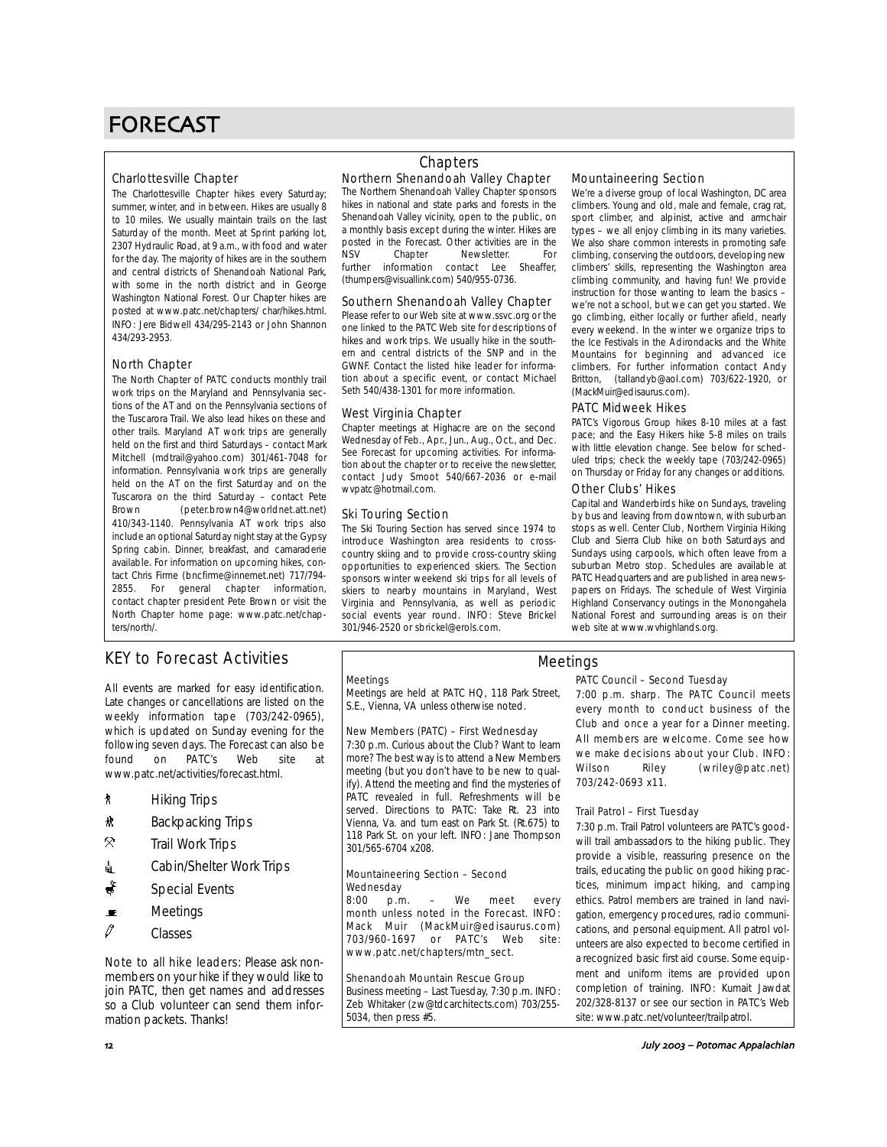# FORECAST

### Charlottesville Chapter

The Charlottesville Chapter hikes every Saturday; summer, winter, and in between. Hikes are usually 8 to 10 miles. We usually maintain trails on the last Saturday of the month. Meet at Sprint parking lot, 2307 Hydraulic Road, at 9 a.m., with food and water for the day. The majority of hikes are in the southern and central districts of Shenandoah National Park, with some in the north district and in George Washington National Forest. Our Chapter hikes are posted at www.patc.net/chapters/ char/hikes.html. INFO: Jere Bidwell 434/295-2143 or John Shannon 434/293-2953.

### North Chapter

The North Chapter of PATC conducts monthly trail work trips on the Maryland and Pennsylvania sections of the AT and on the Pennsylvania sections of the Tuscarora Trail. We also lead hikes on these and other trails. Maryland AT work trips are generally held on the first and third Saturdays – contact Mark Mitchell (mdtrail@yahoo.com) 301/461-7048 for information. Pennsylvania work trips are generally held on the AT on the first Saturday and on the Tuscarora on the third Saturday – contact Pete Brown (peter.brown4@worldnet.att.net) 410/343-1140. Pennsylvania AT work trips also include an optional Saturday night stay at the Gypsy Spring cabin. Dinner, breakfast, and camaraderie available. For information on upcoming hikes, contact Chris Firme (bncfirme@innernet.net) 717/794- 2855. For general chapter information, contact chapter president Pete Brown or visit the North Chapter home page: www.patc.net/chapters/north/.

# **Chapters**

#### Northern Shenandoah Valley Chapter The Northern Shenandoah Valley Chapter sponsors

hikes in national and state parks and forests in the Shenandoah Valley vicinity, open to the public, on a monthly basis except during the winter. Hikes are posted in the Forecast. Other activities are in the<br>NSV Chapter Newsletter For Newsletter. For<br>
ntact lee Sheaffer. further information contact Lee (thumpers@visuallink.com) 540/955-0736.

#### Southern Shenandoah Valley Chapter

Please refer to our Web site at www.ssvc.org or the one linked to the PATC Web site for descriptions of hikes and work trips. We usually hike in the southern and central districts of the SNP and in the GWNF. Contact the listed hike leader for information about a specific event, or contact Michael Seth 540/438-1301 for more information.

#### West Virginia Chapter

Chapter meetings at Highacre are on the second Wednesday of Feb., Apr., Jun., Aug., Oct., and Dec. See Forecast for upcoming activities. For information about the chapter or to receive the newsletter, contact Judy Smoot 540/667-2036 or e-mail wvpatc@hotmail.com.

#### Ski Touring Section

The Ski Touring Section has served since 1974 to introduce Washington area residents to crosscountry skiing and to provide cross-country skiing opportunities to experienced skiers. The Section sponsors winter weekend ski trips for all levels of skiers to nearby mountains in Maryland, West Virginia and Pennsylvania, as well as periodic social events year round. INFO: Steve Brickel 301/946-2520 or sbrickel@erols.com.

### Mountaineering Section

We're a diverse group of local Washington, DC area climbers. Young and old, male and female, crag rat, sport climber, and alpinist, active and armchair types – we all enjoy climbing in its many varieties. We also share common interests in promoting safe climbing, conserving the outdoors, developing new climbers' skills, representing the Washington area climbing community, and having fun! We provide instruction for those wanting to learn the basics – we're not a school, but we can get you started. We go climbing, either locally or further afield, nearly every weekend. In the winter we organize trips to the Ice Festivals in the Adirondacks and the White Mountains for beginning and advanced ice climbers. For further information contact Andy Britton, (tallandyb@aol.com) 703/622-1920, or (MackMuir@edisaurus.com).

#### PATC Midweek Hikes

PATC's Vigorous Group hikes 8-10 miles at a fast pace; and the Easy Hikers hike 5-8 miles on trails with little elevation change. See below for scheduled trips; check the weekly tape (703/242-0965) on Thursday or Friday for any changes or additions.

### Other Clubs' Hikes

Capital and Wanderbirds hike on Sundays, traveling by bus and leaving from downtown, with suburban stops as well. Center Club, Northern Virginia Hiking Club and Sierra Club hike on both Saturdays and Sundays using carpools, which often leave from a suburban Metro stop. Schedules are available at PATC Headquarters and are published in area newspapers on Fridays. The schedule of West Virginia Highland Conservancy outings in the Monongahela National Forest and surrounding areas is on their web site at www.wvhighlands.org.

# KEY to Forecast Activities

All events are marked for easy identification. Late changes or cancellations are listed on the weekly information tape (703/242-0965), which is updated on Sunday evening for the following seven days. The Forecast can also be<br>found on PATC's Web site at found on PATC's Web site at www.patc.net/activities/forecast.html.

- *k* Hiking Trips
- <u>\*</u> Backpacking Trips
- $\mathcal{R}$  Trail Work Trips
- **i** Cabin/Shelter Work Trips
- $\ddot{\bullet}$  Special Events
- $\blacksquare$  Meetings
- $\mathscr O$  Classes

Note to all hike leaders: Please ask nonmembers on your hike if they would like to join PATC, then get names and addresses so a Club volunteer can send them information packets. Thanks!

#### **Meetings**

Meetings are held at PATC HQ, 118 Park Street, S.E., Vienna, VA unless otherwise noted.

### New Members (PATC) – First Wednesday

7:30 p.m. Curious about the Club? Want to learn more? The best way is to attend a New Members meeting (but you don't have to be new to qualify). Attend the meeting and find the mysteries of PATC revealed in full. Refreshments will be served. Directions to PATC: Take Rt. 23 into Vienna, Va. and turn east on Park St. (Rt.675) to 118 Park St. on your left. INFO: Jane Thompson 301/565-6704 x208.

#### Mountaineering Section – Second Wednesday

8:00 p.m. – We meet every month unless noted in the Forecast. INFO: Mack Muir (MackMuir@edisaurus.com) 703/960-1697 or PATC's Web site: www.patc.net/chapters/mtn\_sect.

#### Shenandoah Mountain Rescue Group

Business meeting – Last Tuesday, 7:30 p.m. INFO: Zeb Whitaker (zw@tdcarchitects.com) 703/255- 5034, then press #5.

### Meetings

#### PATC Council – Second Tuesday

7:00 p.m. sharp. The PATC Council meets every month to conduct business of the Club and once a year for a Dinner meeting. All members are welcome. Come see how we make decisions about your Club. INFO: Wilson Riley (wriley@patc.net) 703/242-0693 x11.

#### Trail Patrol – First Tuesday

7:30 p.m. Trail Patrol volunteers are PATC's goodwill trail ambassadors to the hiking public. They provide a visible, reassuring presence on the trails, educating the public on good hiking practices, minimum impact hiking, and camping ethics. Patrol members are trained in land navigation, emergency procedures, radio communications, and personal equipment. All patrol volunteers are also expected to become certified in a recognized basic first aid course. Some equipment and uniform items are provided upon completion of training. INFO: Kumait Jawdat 202/328-8137 or see our section in PATC's Web site: www.patc.net/volunteer/trailpatrol.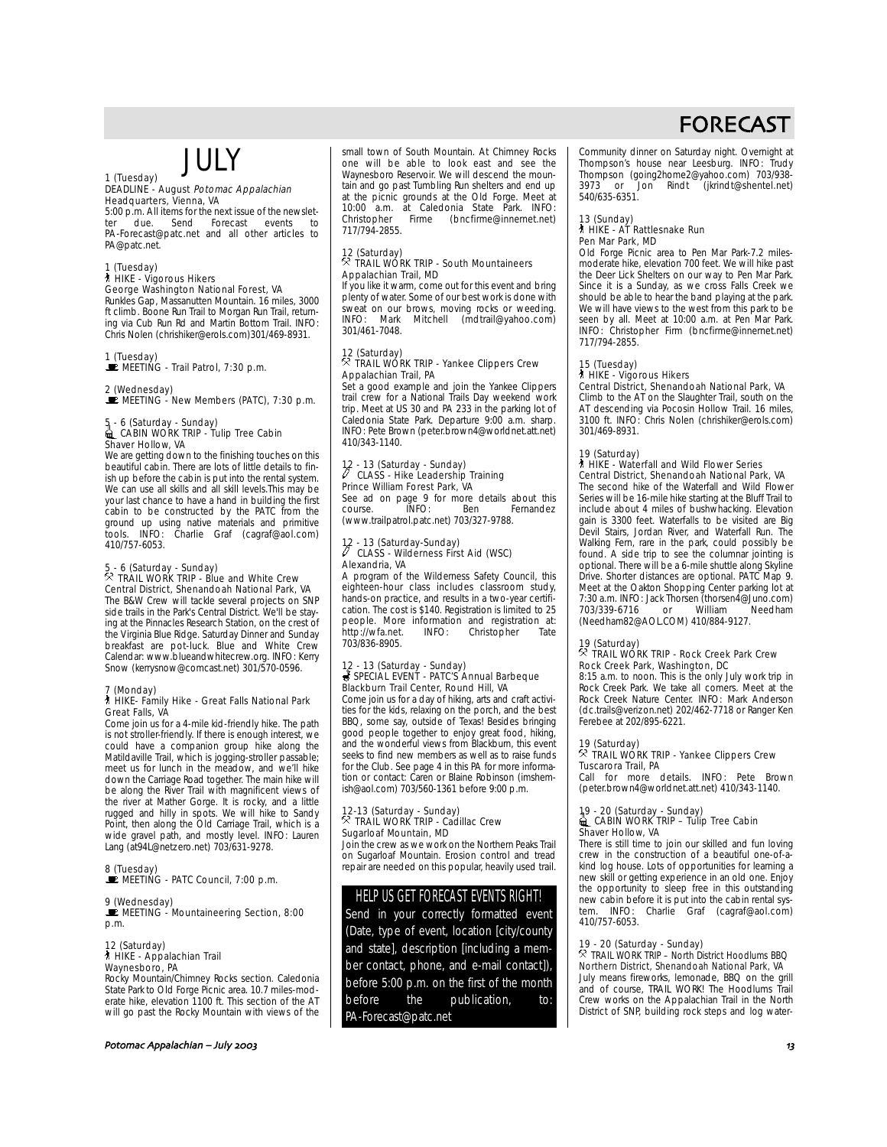# JULY

# 1 (Tuesday)

#### DEADLINE - August Potomac Appalachian Headquarters, Vienna, VA

5:00 p.m. All items for the next issue of the newslet-<br>ter due. Send Forecast events to ter due. Send Forecast events to PA-Forecast@patc.net and all other articles to PA@patc.net.

#### 1 (Tuesday)

#### ` HIKE - Vigorous Hikers George Washington National Forest, VA

Runkles Gap, Massanutten Mountain. 16 miles, 3000 ft climb. Boone Run Trail to Morgan Run Trail, returning via Cub Run Rd and Martin Bottom Trail. INFO: Chris Nolen (chrishiker@erols.com)301/469-8931.

1 (Tuesday)<br>■ MEETING - Trail Patrol, 7:30 p.m.

2 (Wednesday)<br>■ MEETING - New Members (PATC), 7:30 p.m.

# 5 - 6 (Saturday - Sunday)<br>1 CABIN WORK TRIP - Tulip Tree Cabin Shaver Hollow, VA

We are getting down to the finishing touches on this beautiful cabin. There are lots of little details to finish up before the cabin is put into the rental system. We can use all skills and all skill levels.This may be your last chance to have a hand in building the first cabin to be constructed by the PATC from the ground up using native materials and primitive tools. INFO: Charlie Graf (cagraf@aol.com) 410/757-6053.

# 5 - 6 (Saturday - Sunday) . TRAIL WORK TRIP - Blue and White Crew Central District, Shenandoah National Park, VA

The B&W Crew will tackle several projects on SNP side trails in the Park's Central District. We'll be staying at the Pinnacles Research Station, on the crest of the Virginia Blue Ridge. Saturday Dinner and Sunday breakfast are pot-luck. Blue and White Crew Calendar: www.blueandwhitecrew.org. INFO: Kerry Snow (kerrysnow@comcast.net) 301/570-0596.

# 7 (Monday) ` HIKE- Family Hike - Great Falls National Park Great Falls, VA

Come join us for a 4-mile kid-friendly hike. The path is not stroller-friendly. If there is enough interest, we could have a companion group hike along the Matildaville Trail, which is jogging-stroller passable; meet us for lunch in the meadow, and we'll hike down the Carriage Road together. The main hike will be along the River Trail with magnificent views of the river at Mather Gorge. It is rocky, and a little rugged and hilly in spots. We will hike to Sandy Point, then along the Old Carriage Trail, which is a wide gravel path, and mostly level. INFO: Lauren Lang (at94L@netzero.net) 703/631-9278.

# 8 (Tuesday)<br>■ MEETING - PATC Council, 7:00 p.m.

#### 9 (Wednesday) **E** MEETING - Mountaineering Section, 8:00 p.m.

# 12 (Saturday) ` HIKE - Appalachian Trail Waynesboro, PA

Rocky Mountain/Chimney Rocks section. Caledonia State Park to Old Forge Picnic area. 10.7 miles-moderate hike, elevation 1100 ft. This section of the AT will go past the Rocky Mountain with views of the

#### Potomac Appalachian – July (

small town of South Mountain. At Chimney Rocks one will be able to look east and see the Waynesboro Reservoir. We will descend the mountain and go past Tumbling Run shelters and end up at the picnic grounds at the Old Forge. Meet at 10:00 a.m. at Caledonia State Park. INFO: Christopher Firme (bncfirme@innernet.net) 717/794-2855.

# 12 (Saturday) . TRAIL WORK TRIP - South Mountaineers Appalachian Trail, MD

If you like it warm, come out for this event and bring plenty of water. Some of our best work is done with sweat on our brows, moving rocks or weeding. INFO: Mark Mitchell (mdtrail@yahoo.com) 301/461-7048.

# 12 (Saturday) . TRAIL WORK TRIP - Yankee Clippers Crew Appalachian Trail, PA

Set a good example and join the Yankee Clippers trail crew for a National Trails Day weekend work trip. Meet at US 30 and PA 233 in the parking lot of Caledonia State Park. Departure 9:00 a.m. sharp. INFO: Pete Brown (peter.brown4@worldnet.att.net) 410/343-1140.

# 12 - 13 (Saturday - Sunday)<br><sup>8</sup> CLASS - Hike Leadership Training Prince William Forest Park, VA

See ad on page 9 for more details about this course. INFO: Ben Fernandez (www.trailpatrol.patc.net) 703/327-9788.

# 12 - 13 (Saturday-Sunday)<br>/ CLASS - Wilderness First Aid (WSC) Alexandria, VA

A program of the Wilderness Safety Council, this eighteen-hour class includes classroom study, hands-on practice, and results in a two-year certification. The cost is \$140. Registration is limited to 25 people. More information and registration at: http://wfa.net. INFO: Christopher Tate 703/836-8905.

#### 12 - 13 (Saturday - Sunday) s SPECIAL EVENT - PATC'S Annual Barbeque Blackburn Trail Center, Round Hill, VA

Come join us for a day of hiking, arts and craft activities for the kids, relaxing on the porch, and the best BBQ, some say, outside of Texas! Besides bringing good people together to enjoy great food, hiking, and the wonderful views from Blackburn, this event seeks to find new members as well as to raise funds for the Club. See page 4 in this PA for more informa-tion or contact: Caren or Blaine Robinson (imshemish@aol.com) 703/560-1361 before 9:00 p.m.

# 12-13 (Saturday - Sunday) . TRAIL WORK TRIP - Cadillac Crew Sugarloaf Mountain, MD

Join the crew as we work on the Northern Peaks Trail on Sugarloaf Mountain. Erosion control and tread repair are needed on this popular, heavily used trail.

# HELP US GET FORECAST EVENTS RIGHT!

Send in your correctly formatted event (Date, type of event, location [city/county and state], description [including a member contact, phone, and e-mail contact]), before 5:00 p.m. on the first of the month before the publication, to: PA-Forecast@patc.net

Community dinner on Saturday night. Overnight at Thompson's house near Leesburg. INFO: Trudy Thompson (going2home2@yahoo.com) 703/938- Jon Rindt (jkrindt@shentel.net) 3973 or (3973)

# 13 (Sunday) ` HIKE - AT Rattlesnake Run Pen Mar Park, MD

Old Forge Picnic area to Pen Mar Park-7.2 milesmoderate hike, elevation 700 feet. We will hike past the Deer Lick Shelters on our way to Pen Mar Park. Since it is a Sunday, as we cross Falls Creek we should be able to hear the band playing at the park. We will have views to the west from this park to be seen by all. Meet at 10:00 a.m. at Pen Mar Park. INFO: Christopher Firm (bncfirme@innernet.net) 717/794-2855.

#### 15 (Tuesday)

#### ` HIKE - Vigorous Hikers

Central District, Shenandoah National Park, VA Climb to the AT on the Slaughter Trail, south on the AT descending via Pocosin Hollow Trail. 16 miles, 3100 ft. INFO: Chris Nolen (chrishiker@erols.com) 301/469-8931.

#### 19 (Saturday)

` HIKE - Waterfall and Wild Flower Series Central District, Shenandoah National Park, VA The second hike of the Waterfall and Wild Flower Series will be 16-mile hike starting at the Bluff Trail to include about 4 miles of bushwhacking. Elevation gain is 3300 feet. Waterfalls to be visited are Big Devil Stairs, Jordan River, and Waterfall Run. The Walking Fern, rare in the park, could possibly be found. A side trip to see the columnar jointing is optional. There will be a 6-mile shuttle along Skyline Drive. Shorter distances are optional. PATC Map 9. Meet at the Oakton Shopping Center parking lot at 7:30 a.m. INFO: Jack Thorsen (thorsen4@Juno.com) 703/339-6716 or William Needham (Needham82@AOL.COM) 410/884-9127.

## 19 (Saturday) . TRAIL WORK TRIP - Rock Creek Park Crew Rock Creek Park, Washington, DC

8:15 a.m. to noon. This is the only July work trip in Rock Creek Park. We take all comers. Meet at the Rock Creek Nature Center. INFO: Mark Anderson (dc.trails@verizon.net) 202/462-7718 or Ranger Ken Ferebee at 202/895-6221.

19 (Saturday) . TRAIL WORK TRIP - Yankee Clippers Crew Tuscarora Trail, PA

Call for more details. INFO: Pete Brown (peter.brown4@worldnet.att.net) 410/343-1140.

# 19 - 20 (Saturday - Sunday)<br>Lamang Cabin Work TRIP – Tulip Tree Cabin Shaver Hollow, VA

There is still time to join our skilled and fun loving crew in the construction of a beautiful one-of-akind log house. Lots of opportunities for learning a new skill or getting experience in an old one. Enjoy the opportunity to sleep free in this outstanding new cabin before it is put into the cabin rental sys-tem. INFO: Charlie Graf (cagraf@aol.com) 410/757-6053.

# 19 - 20 (Saturday - Sunday) . TRAIL WORK TRIP – North District Hoodlums BBQ

Northern District, Shenandoah National Park, VA July means fireworks, lemonade, BBQ on the grill and of course, TRAIL WORK! The Hoodlums Trail Crew works on the Appalachian Trail in the North District of SNP, building rock steps and log water-

# FORECAST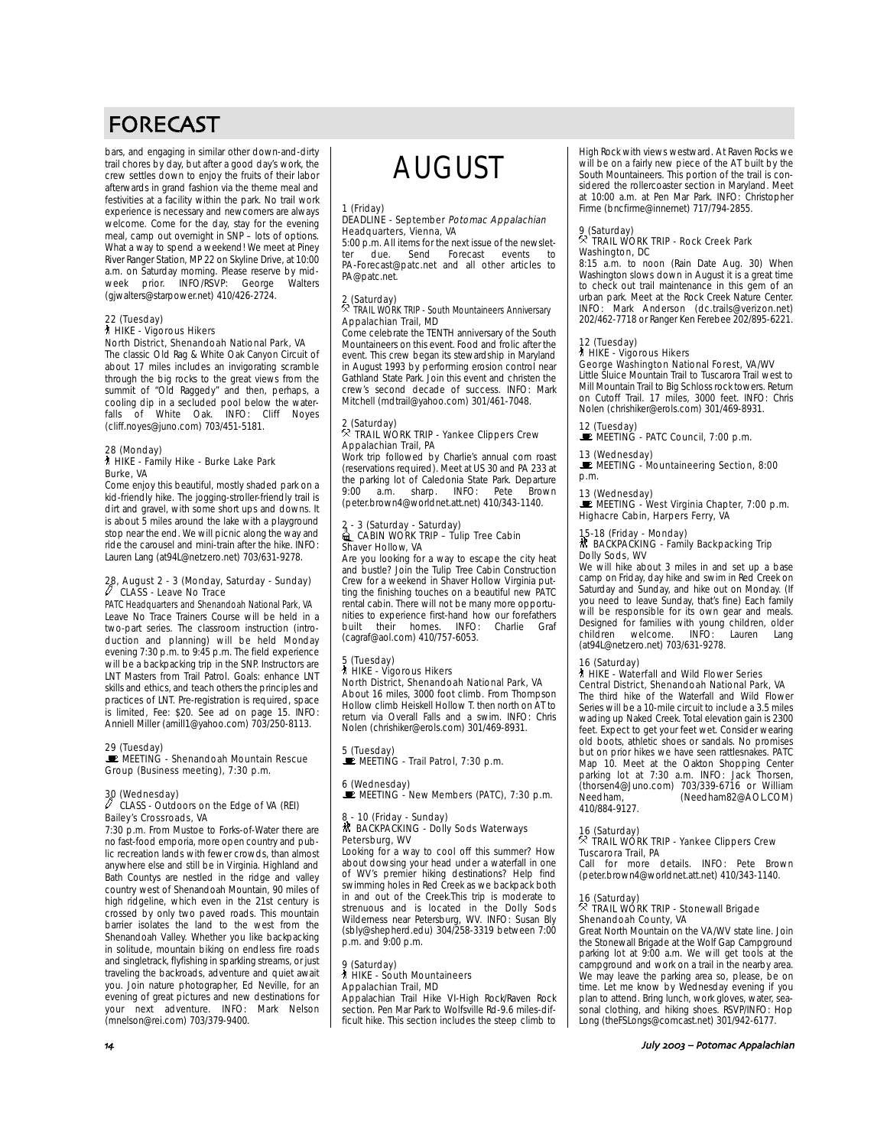# FORECAST

bars, and engaging in similar other down-and-dirty trail chores by day, but after a good day's work, the crew settles down to enjoy the fruits of their labor afterwards in grand fashion via the theme meal and festivities at a facility within the park. No trail work experience is necessary and newcomers are always welcome. Come for the day, stay for the evening meal, camp out overnight in SNP – lots of options. What a way to spend a weekend! We meet at Piney River Ranger Station, MP 22 on Skyline Drive, at 10:00 a.m. on Saturday morning. Please reserve by mid-<br>week prior. INFO/RSVP: George Walters WINFO/RSVP: George (gjwalters@starpower.net) 410/426-2724.

### 22 (Tuesday) ` HIKE - Vigorous Hikers

# North District, Shenandoah National Park, VA

The classic Old Rag & White Oak Canyon Circuit of about 17 miles includes an invigorating scramble through the big rocks to the great views from the summit of "Old Raggedy" and then, perhaps, a cooling dip in a secluded pool below the waterfalls of White Oak. INFO: Cliff Noyes (cliff.noyes@juno.com) 703/451-5181.

# 28 (Monday)

#### ` HIKE - Family Hike - Burke Lake Park Burke, VA

Come enjoy this beautiful, mostly shaded park on a kid-friendly hike. The jogging-stroller-friendly trail is dirt and gravel, with some short ups and downs. It is about 5 miles around the lake with a playground stop near the end. We will picnic along the way and ride the carousel and mini-train after the hike. INFO: Lauren Lang (at94L@netzero.net) 703/631-9278.

# 28, August 2 - 3 (Monday, Saturday - Sunday) a CLASS - Leave No Trace

PATC Headquarters and Shenandoah National Park, VA Leave No Trace Trainers Course will be held in a two-part series. The classroom instruction (introduction and planning) will be held Monday evening 7:30 p.m. to 9:45 p.m. The field experience will be a backpacking trip in the SNP. Instructors are LNT Masters from Trail Patrol. Goals: enhance LNT skills and ethics, and teach others the principles and practices of LNT. Pre-registration is required, space is limited, Fee: \$20. See ad on page 15. INFO: Anniell Miller (amill1@yahoo.com) 703/250-8113.

#### 29 (Tuesday)

#### **E** MEETING - Shenandoah Mountain Rescue Group (Business meeting), 7:30 p.m.

## 30 (Wednesday) a CLASS - Outdoors on the Edge of VA (REI) Bailey's Crossroads, VA

7:30 p.m. From Mustoe to Forks-of-Water there are no fast-food emporia, more open country and public recreation lands with fewer crowds, than almost anywhere else and still be in Virginia. Highland and Bath Countys are nestled in the ridge and valley country west of Shenandoah Mountain, 90 miles of high ridgeline, which even in the 21st century is crossed by only two paved roads. This mountain barrier isolates the land to the west from the Shenandoah Valley. Whether you like backpacking in solitude, mountain biking on endless fire roads and singletrack, flyfishing in sparkling streams, or just traveling the backroads, adventure and quiet await you. Join nature photographer, Ed Neville, for an evening of great pictures and new destinations for your next adventure. INFO: Mark Nelson (mnelson@rei.com) 703/379-9400.

# AUGUST

# 1 (Friday)<br>DEADLINE - September *Potomac Appalachian* Headquarters, Vienna, VA

5:00 p.m. All items for the next issue of the newslet-<br>termindue send Forecast events to ter due. Send Forecast events to PA-Forecast@patc.net and all other articles to PA@patc.net.

# 2 (Saturday) . TRAIL WORK TRIP - South Mountaineers Anniversary Appalachian Trail, MD

Come celebrate the TENTH anniversary of the South Mountaineers on this event. Food and frolic after the event. This crew began its stewardship in Maryland in August 1993 by performing erosion control near Gathland State Park. Join this event and christen the crew's second decade of success. INFO: Mark Mitchell (mdtrail@yahoo.com) 301/461-7048.

# 2 (Saturday) . TRAIL WORK TRIP - Yankee Clippers Crew Appalachian Trail, PA

Work trip followed by Charlie's annual corn roast (reservations required). Meet at US 30 and PA 233 at the parking lot of Caledonia State Park. Departure<br>9:00 a.m. sharp. INFO: Pete Brown 9:00 a.m. sharp. INFO: Pete Brown (peter.brown4@worldnet.att.net) 410/343-1140.

# 2 - 3 (Saturday - Saturday)<br>Lackbook TRIP – Tulip Tree Cabin Shaver Hollow, VA

Are you looking for a way to escape the city heat and bustle? Join the Tulip Tree Cabin Construction Crew for a weekend in Shaver Hollow Virginia putting the finishing touches on a beautiful new PATC rental cabin. There will not be many more opportunities to experience first-hand how our forefathers<br>built their homes INFO: Charlie Graf built their homes. INFO: (cagraf@aol.com) 410/757-6053.

# 5 (Tuesday)

#### ` HIKE - Vigorous Hikers North District, Shenandoah National Park, VA About 16 miles, 3000 foot climb. From Thompson

Hollow climb Heiskell Hollow T. then north on AT to return via Overall Falls and a swim. INFO: Chris Nolen (chrishiker@erols.com) 301/469-8931.

# 5 (Tuesday)<br>■ MEETING - Trail Patrol, 7:30 p.m.

# 6 (Wednesday)<br>■ MEETING - New Members (PATC), 7:30 p.m.

## 8 - 10 (Friday - Sunday)<br>₩ BACKPACKING - Dolly Sods Waterways Petersburg, WV

Looking for a way to cool off this summer? How about dowsing your head under a waterfall in one of WV's premier hiking destinations? Help find swimming holes in Red Creek as we backpack both in and out of the Creek.This trip is moderate to strenuous and is located in the Dolly Sods Wilderness near Petersburg, WV. INFO: Susan Bly (sbly@shepherd.edu) 304/258-3319 between 7:00 p.m. and 9:00 p.m.

#### 9 (Saturday) **A** HIKE - South Mountaineers Appalachian Trail, MD

Appalachian Trail Hike VI-High Rock/Raven Rock section. Pen Mar Park to Wolfsville Rd-9.6 miles-difficult hike. This section includes the steep climb to High Rock with views westward. At Raven Rocks we will be on a fairly new piece of the AT built by the South Mountaineers. This portion of the trail is considered the rollercoaster section in Maryland. Meet at 10:00 a.m. at Pen Mar Park. INFO: Christopher Firme (bncfirme@innernet) 717/794-2855.

## 9 (Saturday) . TRAIL WORK TRIP - Rock Creek Park Washington, DC

8:15 a.m. to noon (Rain Date Aug. 30) When Washington slows down in August it is a great time to check out trail maintenance in this gem of an urban park. Meet at the Rock Creek Nature Center. INFO: Mark Anderson (dc.trails@verizon.net) 202/462-7718 or Ranger Ken Ferebee 202/895-6221.

# 12 (Tuesday) ` HIKE - Vigorous Hikers

## George Washington National Forest, VA/WV

Little Sluice Mountain Trail to Tuscarora Trail west to Mill Mountain Trail to Big Schloss rock towers. Return on Cutoff Trail. 17 miles, 3000 feet. INFO: Chris Nolen (chrishiker@erols.com) 301/469-8931.

# 12 (Tuesday)<br>■ MEETING - PATC Council, 7:00 p.m.

## 13 (Wednesday)<br>■ MEETING - Mountaineering Section, 8:00 p.m.

13 (Wednesday)<br>■ MEETING - West Virginia Chapter, 7:00 p.m. Highacre Cabin, Harpers Ferry, VA

#### 15-18 (Friday - Monday)

#### ~ BACKPACKING - Family Backpacking Trip Dolly Sods, WV

We will hike about 3 miles in and set up a base camp on Friday, day hike and swim in Red Creek on Saturday and Sunday, and hike out on Monday. (If you need to leave Sunday, that's fine) Each family will be responsible for its own gear and meals. Designed for families with young children, older children welcome. INFO: Lauren Lang (at94L@netzero.net) 703/631-9278.

### 16 (Saturday)

#### ` HIKE - Waterfall and Wild Flower Series Central District, Shenandoah National Park, VA

The third hike of the Waterfall and Wild Flower Series will be a 10-mile circuit to include a 3.5 miles wading up Naked Creek. Total elevation gain is 2300 feet. Expect to get your feet wet. Consider wearing old boots, athletic shoes or sandals. No promises but on prior hikes we have seen rattlesnakes. PATC Map 10. Meet at the Oakton Shopping Center parking lot at 7:30 a.m. INFO: Jack Thorsen, (thorsen4@Juno.com) 703/339-6716 or William (Needham82@AOL.COM) 410/884-9127.

# 16 (Saturday) . TRAIL WORK TRIP - Yankee Clippers Crew **Tuscarora Trail, PA**<br>Call for more of

for more details. INFO: Pete Brown (peter.brown4@worldnet.att.net) 410/343-1140.

# 16 (Saturday) . TRAIL WORK TRIP - Stonewall Brigade Shenandoah County, VA

Great North Mountain on the VA/WV state line. Join the Stonewall Brigade at the Wolf Gap Campground parking lot at 9:00 a.m. We will get tools at the campground and work on a trail in the nearby area. We may leave the parking area so, please, be on time. Let me know by Wednesday evening if you plan to attend. Bring lunch, work gloves, water, seasonal clothing, and hiking shoes. RSVP/INFO: Hop Long (theFSLongs@comcast.net) 301/942-6177.

#### (& July – Potomac Appalachian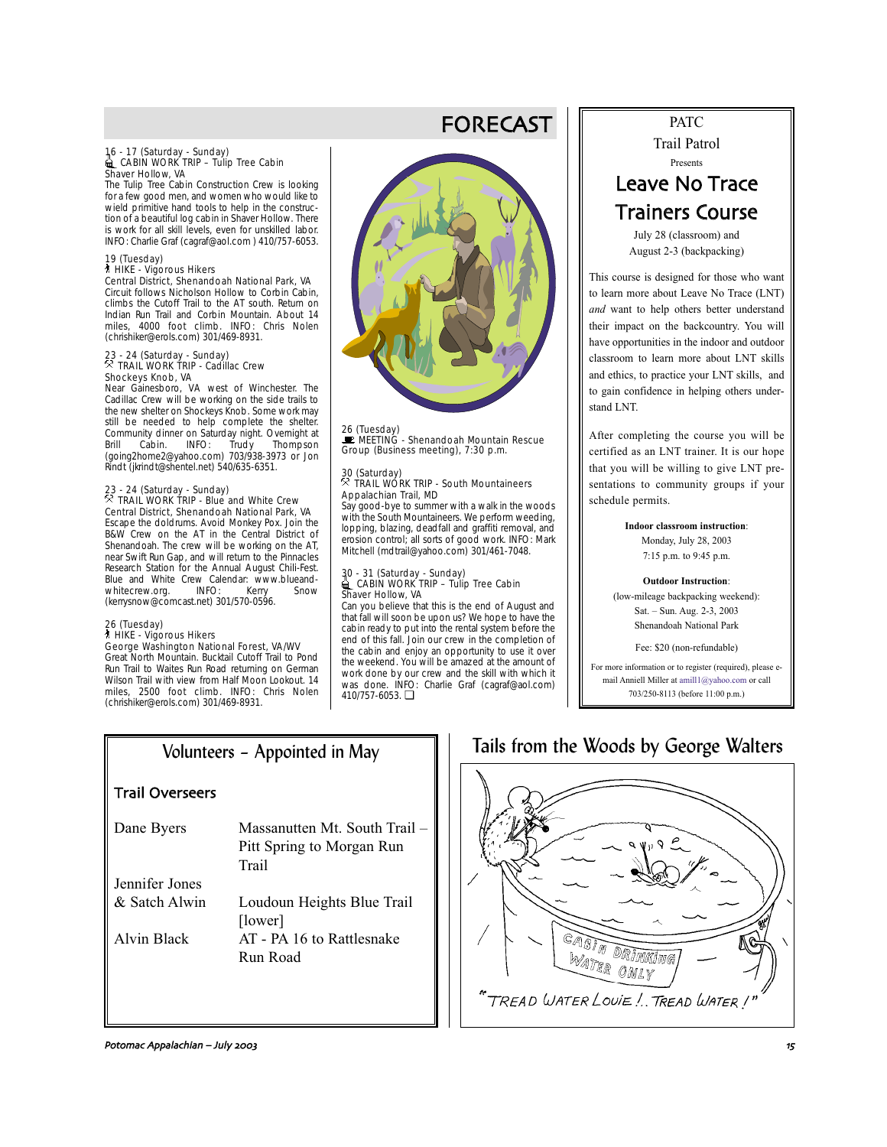# 16 - 17 (Saturday - Sunday)<br>16 CABIN WORK TRIP – Tulip Tree Cabin – CABIN WORK TI<br>Shaver Hollow, VA

The Tulip Tree Cabin Construction Crew is looking for a few good men, and women who would like to wield primitive hand tools to help in the construction of a beautiful log cabin in Shaver Hollow. There is work for all skill levels, even for unskilled labor. INFO: Charlie Graf (cagraf@aol.com ) 410/757-6053.

#### 19 (Tuesday) ` HIKE - Vigorous Hikers

Central District, Shenandoah National Park, VA Circuit follows Nicholson Hollow to Corbin Cabin, climbs the Cutoff Trail to the AT south. Return on Indian Run Trail and Corbin Mountain. About 14 miles, 4000 foot climb. INFO: Chris Nolen (chrishiker@erols.com) 301/469-8931.

# 23 - 24 (Saturday - Sunday) . TRAIL WORK TRIP - Cadillac Crew Shockeys Knob, VA

Near Gainesboro, VA west of Winchester. The Cadillac Crew will be working on the side trails to the new shelter on Shockeys Knob. Some work may still be needed to help complete the shelter. Example of the state of the processes the community dinner on Saturday night. Overnight at Brill Cabin. INFO: Trudy Thompson Brill Cabin. INFO: Trudy Thompson (going2home2@yahoo.com) 703/938-3973 or Jon Rindt (jkrindt@shentel.net) 540/635-6351.

# 23 - 24 (Saturday - Sunday) . TRAIL WORK TRIP - Blue and White Crew

Central District, Shenandoah National Park, VA Escape the doldrums. Avoid Monkey Pox. Join the B&W Crew on the AT in the Central District of Shenandoah. The crew will be working on the AT, near Swift Run Gap, and will return to the Pinnacles Research Station for the Annual August Chili-Fest. Blue and White Crew Calendar: www.blueand-<br>whitecrew.org UNFO: Kerry Snow whitecrew.org. INFO: Kerry Snow (kerrysnow@comcast.net) 301/570-0596.

#### 26 (Tuesday)

# ` HIKE - Vigorous Hikers

George Washington National Forest, VA/WV Great North Mountain. Bucktail Cutoff Trail to Pond Run Trail to Waites Run Road returning on German Wilson Trail with view from Half Moon Lookout. 14 miles, 2500 foot climb. INFO: Chris Nolen (chrishiker@erols.com) 301/469-8931.



FORECAST

26 (Tuesday)<br>■ MEETING - Shenandoah Mountain Rescue Group (Business meeting), 7:30 p.m.

#### 30 (Saturday)<br>8 Than . TRAIL WORK TRIP - South Mountaineers Appalachian Trail, MD

Say good-bye to summer with a walk in the woods with the South Mountaineers. We perform weeding, lopping, blazing, deadfall and graffiti removal, and erosion control; all sorts of good work. INFO: Mark Mitchell (mdtrail@yahoo.com) 301/461-7048.

# 30 - 31 (Saturday - Sunday)<br>▄ CABIN WORK TRIP – Tulip Tree Cabin Shaver Hollow, VA

Can you believe that this is the end of August and that fall will soon be upon us? We hope to have the cabin ready to put into the rental system before the end of this fall. Join our crew in the completion of the cabin and enjoy an opportunity to use it over the weekend. You will be amazed at the amount of work done by our crew and the skill with which it was done. INFO: Charlie Graf (cagraf@aol.com) 410/757-6053. ❏

# PATC

Trail Patrol Presents

# Leave No Trace Trainers Course

July 28 (classroom) and August 2-3 (backpacking)

This course is designed for those who want to learn more about Leave No Trace (LNT) *and* want to help others better understand their impact on the backcountry. You will have opportunities in the indoor and outdoor classroom to learn more about LNT skills and ethics, to practice your LNT skills, and to gain confidence in helping others understand LNT.

After completing the course you will be certified as an LNT trainer. It is our hope that you will be willing to give LNT presentations to community groups if your schedule permits.

> **Indoor classroom instruction**: Monday, July 28, 2003 7:15 p.m. to 9:45 p.m.

**Outdoor Instruction**: (low-mileage backpacking weekend): Sat. – Sun. Aug. 2-3, 2003 Shenandoah National Park

Fee: \$20 (non-refundable)

For more information or to register (required), please email Anniell Miller at amill1@yahoo.com or call 703/250-8113 (before 11:00 p.m.)

# Volunteers – Appointed in May

# Trail Overseers

Dane Byers Massanutten Mt. South Trail – Pitt Spring to Morgan Run **Trail** Jennifer Jones & Satch Alwin Loudoun Heights Blue Trail

[lower] Alvin Black AT - PA 16 to Rattlesnake Run Road

# Tails from the Woods by George Walters



Potomac Appalachian – July ('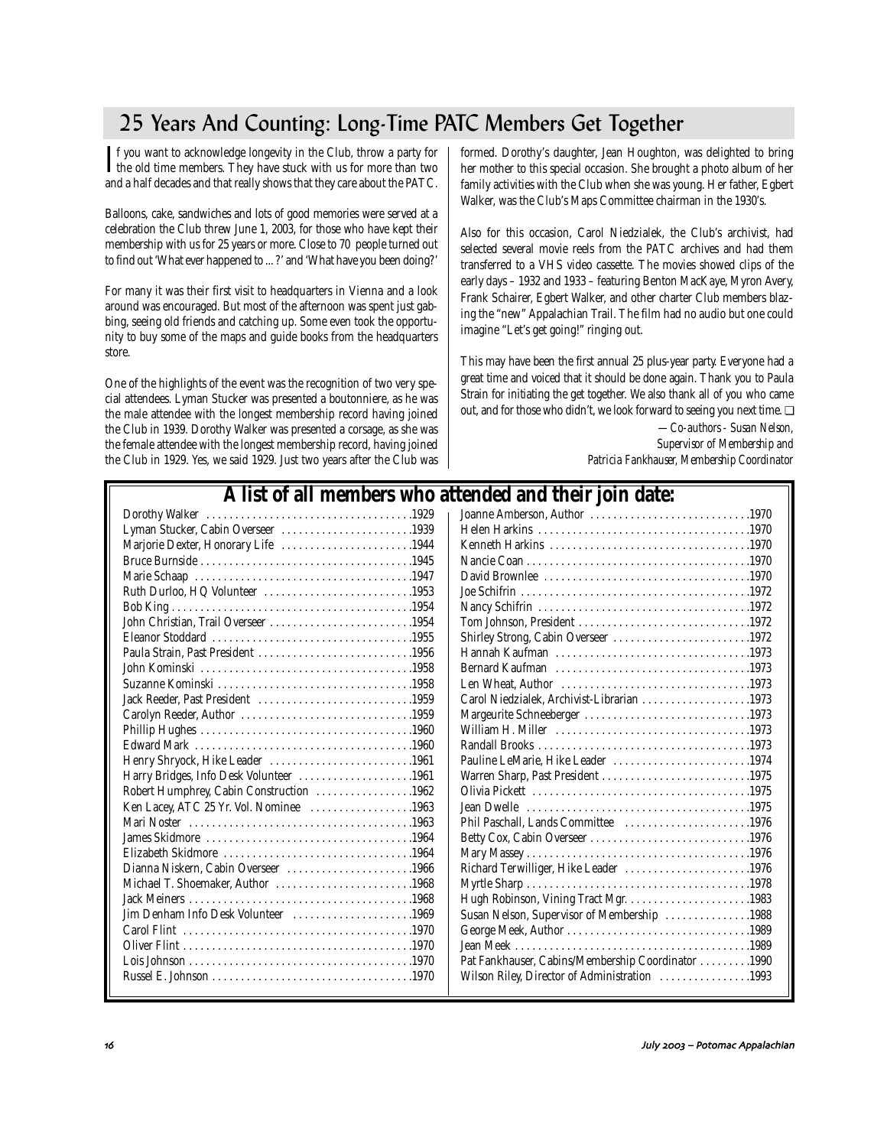# 25 Years And Counting: Long-Time PATC Members Get Together

 $\Gamma$  f you want to acknowledge longevity in the Club, throw a party for the old time members. They have stuck with us for more than two  $\Gamma$ f you want to acknowledge longevity in the Club, throw a party for and a half decades and that really shows that they care about the PATC.

Balloons, cake, sandwiches and lots of good memories were served at a celebration the Club threw June 1, 2003, for those who have kept their membership with us for 25 years or more. Close to 70 people turned out to find out 'What ever happened to ... ?' and 'What have you been doing?'

For many it was their first visit to headquarters in Vienna and a look around was encouraged. But most of the afternoon was spent just gabbing, seeing old friends and catching up. Some even took the opportunity to buy some of the maps and guide books from the headquarters store.

One of the highlights of the event was the recognition of two very special attendees. Lyman Stucker was presented a boutonniere, as he was the male attendee with the longest membership record having joined the Club in 1939. Dorothy Walker was presented a corsage, as she was the female attendee with the longest membership record, having joined the Club in 1929. Yes, we said 1929. Just two years after the Club was formed. Dorothy's daughter, Jean Houghton, was delighted to bring her mother to this special occasion. She brought a photo album of her family activities with the Club when she was young. Her father, Egbert Walker, was the Club's Maps Committee chairman in the 1930's.

Also for this occasion, Carol Niedzialek, the Club's archivist, had selected several movie reels from the PATC archives and had them transferred to a VHS video cassette. The movies showed clips of the early days – 1932 and 1933 – featuring Benton MacKaye, Myron Avery, Frank Schairer, Egbert Walker, and other charter Club members blazing the "new" Appalachian Trail. The film had no audio but one could imagine "Let's get going!" ringing out.

This may have been the first annual 25 plus-year party. Everyone had a great time and voiced that it should be done again. Thank you to Paula Strain for initiating the get together. We also thank all of you who came out, and for those who didn't, we look forward to seeing you next time. ❏

*—Co-authors - Susan Nelson, Supervisor of Membership and Patricia Fankhauser, Membership Coordinator*

| A list of all members who attended and their join date: |  |
|---------------------------------------------------------|--|
|---------------------------------------------------------|--|

| Lyman Stucker, Cabin Overseer 1939       |  |
|------------------------------------------|--|
| Marjorie Dexter, Honorary Life 1944      |  |
|                                          |  |
|                                          |  |
| Ruth Durloo, HQ Volunteer 1953           |  |
|                                          |  |
| John Christian, Trail Overseer 1954      |  |
|                                          |  |
| Paula Strain, Past President 1956        |  |
|                                          |  |
|                                          |  |
| Jack Reeder. Past President 1959         |  |
|                                          |  |
|                                          |  |
|                                          |  |
| Henry Shryock, Hike Leader 1961          |  |
| Harry Bridges, Info Desk Volunteer 1961  |  |
| Robert Humphrey, Cabin Construction 1962 |  |
| Ken Lacey, ATC 25 Yr. Vol. Nominee 1963  |  |
|                                          |  |
|                                          |  |
|                                          |  |
| Dianna Niskern, Cabin Overseer 1966      |  |
| Michael T. Shoemaker, Author 1968        |  |
|                                          |  |
| Jim Denham Info Desk Volunteer 1969      |  |
|                                          |  |
|                                          |  |
|                                          |  |
|                                          |  |
|                                          |  |

| tenueu anu then join uate.                         |
|----------------------------------------------------|
| Joanne Amberson, Author 1970                       |
|                                                    |
|                                                    |
|                                                    |
|                                                    |
|                                                    |
|                                                    |
| Tom Johnson, President 1972                        |
| Shirley Strong, Cabin Overseer 1972                |
|                                                    |
|                                                    |
|                                                    |
| Carol Niedzialek, Archivist-Librarian 1973         |
| Margeurite Schneeberger 1973                       |
|                                                    |
|                                                    |
| Pauline LeMarie, Hike Leader 1974                  |
| Warren Sharp, Past President 1975                  |
|                                                    |
|                                                    |
| Phil Paschall, Lands Committee 1976                |
| Betty Cox, Cabin Overseer 1976                     |
|                                                    |
| Richard Terwilliger, Hike Leader 1976              |
|                                                    |
|                                                    |
| Susan Nelson, Supervisor of Membership 1988        |
|                                                    |
|                                                    |
| Pat Fankhauser, Cabins/Membership Coordinator 1990 |
| Wilson Riley, Director of Administration 1993      |
|                                                    |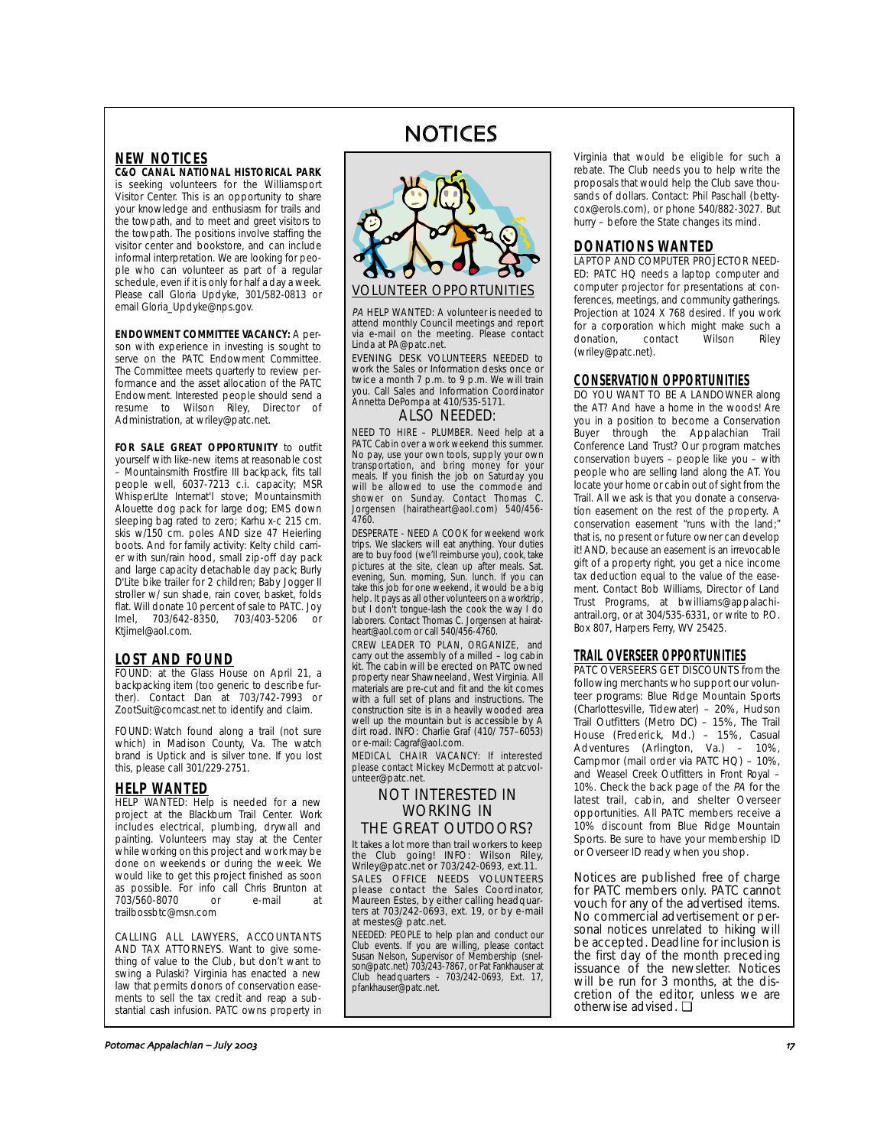# **NEW NOTICES**

**C&O CANAL NATIONAL HISTORICAL PARK** is seeking volunteers for the Williamsport Visitor Center. This is an opportunity to share your knowledge and enthusiasm for trails and the towpath, and to meet and greet visitors to the towpath. The positions involve staffing the visitor center and bookstore, and can include informal interpretation. We are looking for people who can volunteer as part of a regular schedule, even if it is only for half a day a week. Please call Gloria Updyke, 301/582-0813 or email Gloria\_Updyke@nps.gov.

**ENDOWMENT COMMITTEE VACANCY:** A person with experience in investing is sought to serve on the PATC Endowment Committee. The Committee meets quarterly to review performance and the asset allocation of the PATC Endowment. Interested people should send a resume to Wilson Riley, Director of Administration, at wriley@patc.net.

**FOR SALE GREAT OPPORTUNITY** to outfit yourself with like-new items at reasonable cost – Mountainsmith Frostfire III backpack, fits tall people well, 6037-7213 c.i. capacity; MSR WhisperLIte Internat'l stove; Mountainsmith Alouette dog pack for large dog; EMS down sleeping bag rated to zero; Karhu x-c 215 cm. skis w/150 cm. poles AND size 47 Heierling boots. And for family activity: Kelty child carrier with sun/rain hood, small zip-off day pack and large capacity detachable day pack; Burly D'Lite bike trailer for 2 children; Baby Jogger II stroller w/ sun shade, rain cover, basket, folds flat. Will donate 10 percent of sale to PATC. Joy Imel, 703/642-8350, 703/403-5206 or Ktjimel@aol.com.

### **LOST AND FOUND**

FOUND: at the Glass House on April 21, a backpacking item (too generic to describe further). Contact Dan at 703/742-7993 or ZootSuit@comcast.net to identify and claim.

FOUND: Watch found along a trail (not sure which) in Madison County, Va. The watch brand is Uptick and is silver tone. If you lost this, please call 301/229-2751.

# **HELP WANTED**

**HELP WANTED:** Help is needed for a new project at the Blackburn Trail Center. Work includes electrical, plumbing, drywall and painting. Volunteers may stay at the Center while working on this project and work may be done on weekends or during the week. We would like to get this project finished as soon as possible. For info call Chris Brunton at<br>703/560-8070 or e-mail at 703/560-8070 or e-mail at trailbossbtc@msn.com

### CALLING ALL LAWYERS, ACCOUNTANTS

AND TAX ATTORNEYS. Want to give something of value to the Club, but don't want to swing a Pulaski? Virginia has enacted a new law that permits donors of conservation easements to sell the tax credit and reap a substantial cash infusion. PATC owns property in

# NOTICES



PA HELP WANTED: A volunteer is needed to attend monthly Council meetings and report via e-mail on the meeting. Please contact Linda at PA@patc.net.

EVENING DESK VOLUNTEERS NEEDED to work the Sales or Information desks once or twice a month 7 p.m. to 9 p.m. We will train you. Call Sales and Information Coordinator Annetta DePompa at 410/535-5171.

### ALSO NEEDED:

NEED TO HIRE – PLUMBER. Need help at a PATC Cabin over a work weekend this summer. No pay, use your own tools, supply your own transportation, and bring money for your meals. If you finish the job on Saturday you will be allowed to use the commode and shower on Sunday. Contact Thomas C. Jorgensen (hairatheart@aol.com) 540/456- 4760.

DESPERATE - NEED A COOK for weekend work trips. We slackers will eat anything. Your duties are to buy food (we'll reimburse you), cook, take pictures at the site, clean up after meals. Sat. evening, Sun. morning, Sun. lunch. If you can take this job for one weekend, it would be a big help. It pays as all other volunteers on a worktrip, but I don't tongue-lash the cook the way I do laborers. Contact Thomas C. Jorgensen at hairatheart@aol.com or call 540/456-4760.

CREW LEADER TO PLAN, ORGANIZE, and carry out the assembly of a milled – log cabin kit. The cabin will be erected on PATC owned property near Shawneeland, West Virginia. All materials are pre-cut and fit and the kit comes with a full set of plans and instructions. The construction site is in a heavily wooded area well up the mountain but is accessible by A dirt road. INFO: Charlie Graf (410/ 757–6053) or e-mail: Cagraf@aol.com.

MEDICAL CHAIR VACANCY: If interested please contact Mickey McDermott at patcvolunteer@patc.net.

## NOT INTERESTED IN WORKING IN THE GREAT OUTDOORS?

It takes a lot more than trail workers to keep the Club going! INFO: Wilson Riley, Wriley@patc.net or 703/242-0693, ext.11. SALES OFFICE NEEDS VOLUNTEERS please contact the Sales Coordinator, Maureen Estes, by either calling headquar-ters at 703/242-0693, ext. 19, or by e-mail at mestes@ patc.net.

NEEDED: PEOPLE to help plan and conduct our Club events. If you are willing, please contact Susan Nelson, Supervisor of Membership (snel-son@patc.net) 703/243-7867, or Pat Fankhauser at Club headquarters - 703/242-0693, Ext. 17, pfankhauser@patc.net.

Virginia that would be eligible for such a rebate. The Club needs you to help write the proposals that would help the Club save thousands of dollars. Contact: Phil Paschall (bettycox@erols.com), or phone 540/882-3027. But hurry – before the State changes its mind.

# **DONATIONS WANTED**

LAPTOP AND COMPUTER PROJECTOR NEED-ED: PATC HQ needs a laptop computer and computer projector for presentations at conferences, meetings, and community gatherings. Projection at 1024 X 768 desired. If you work for a corporation which might make such a donation, contact Wilson Riley (wriley@patc.net).

# **CONSERVATION OPPORTUNITIES**

DO YOU WANT TO BE A LANDOWNER along the AT? And have a home in the woods! Are you in a position to become a Conservation Buyer through the Appalachian Trail Conference Land Trust? Our program matches conservation buyers – people like you – with people who are selling land along the AT. You locate your home or cabin out of sight from the Trail. All we ask is that you donate a conservation easement on the rest of the property. A conservation easement "runs with the land;" that is, no present or future owner can develop it! AND, because an easement is an irrevocable gift of a property right, you get a nice income tax deduction equal to the value of the easement. Contact Bob Williams, Director of Land Trust Programs, at bwilliams@appalachiantrail.org, or at 304/535-6331, or write to P.O. Box 807, Harpers Ferry, WV 25425.

### **TRAIL OVERSEER OPPORTUNITIES**

PATC OVERSEERS GET DISCOUNTS from the following merchants who support our volunteer programs: Blue Ridge Mountain Sports (Charlottesville, Tidewater) – 20%, Hudson Trail Outfitters (Metro DC) – 15%, The Trail House (Frederick, Md.) – 15%, Casual Adventures (Arlington, Va.) – 10%, Campmor (mail order via PATC HQ) – 10%, and Weasel Creek Outfitters in Front Royal – 10%. Check the back page of the PA for the latest trail, cabin, and shelter Overseer opportunities. All PATC members receive a 10% discount from Blue Ridge Mountain Sports. Be sure to have your membership ID or Overseer ID ready when you shop.

Notices are published free of charge for PATC members only. PATC cannot vouch for any of the advertised items. No commercial advertisement or personal notices unrelated to hiking will be accepted. Deadline for inclusion is the first day of the month preceding issuance of the newsletter. Notices will be run for 3 months, at the discretion of the editor, unless we are otherwise advised. ❏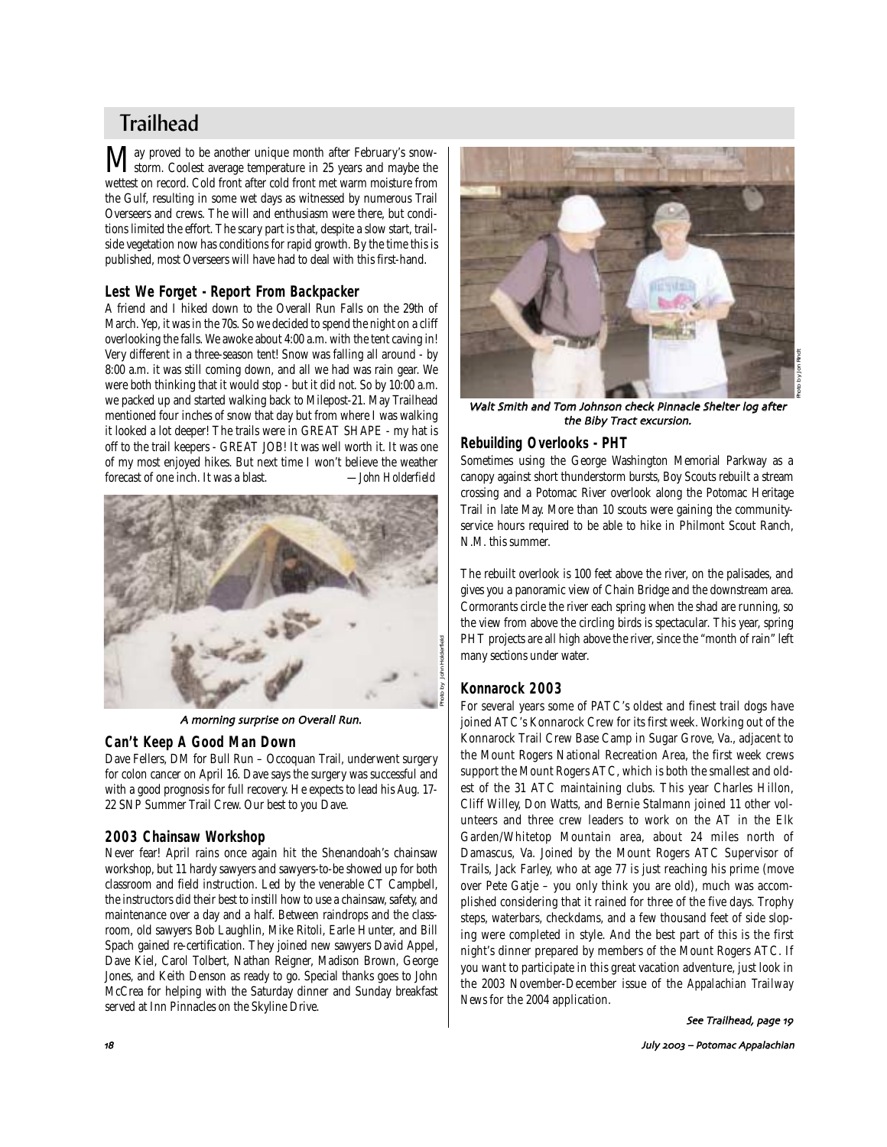# **Trailhead**

May proved to be another unique month after February's snow-<br>storm. Coolest average temperature in 25 years and maybe the wettest on record. Cold front after cold front met warm moisture from the Gulf, resulting in some wet days as witnessed by numerous Trail Overseers and crews. The will and enthusiasm were there, but conditions limited the effort. The scary part is that, despite a slow start, trailside vegetation now has conditions for rapid growth. By the time this is published, most Overseers will have had to deal with this first-hand.

# **Lest We Forget - Report From Backpacker**

A friend and I hiked down to the Overall Run Falls on the 29th of March. Yep, it was in the 70s. So we decided to spend the night on a cliff overlooking the falls. We awoke about 4:00 a.m. with the tent caving in! Very different in a three-season tent! Snow was falling all around - by 8:00 a.m. it was still coming down, and all we had was rain gear. We were both thinking that it would stop - but it did not. So by 10:00 a.m. we packed up and started walking back to Milepost-21. May Trailhead mentioned four inches of snow that day but from where I was walking it looked a lot deeper! The trails were in GREAT SHAPE - my hat is off to the trail keepers - GREAT JOB! It was well worth it. It was one of my most enjoyed hikes. But next time I won't believe the weather forecast of one inch. It was a blast. *—John Holderfield*



A morning surprise on Overall Run.

## **Can't Keep A Good Man Down**

Dave Fellers, DM for Bull Run – Occoquan Trail, underwent surgery for colon cancer on April 16. Dave says the surgery was successful and with a good prognosis for full recovery. He expects to lead his Aug. 17- 22 SNP Summer Trail Crew. Our best to you Dave.

### **2003 Chainsaw Workshop**

Never fear! April rains once again hit the Shenandoah's chainsaw workshop, but 11 hardy sawyers and sawyers-to-be showed up for both classroom and field instruction. Led by the venerable CT Campbell, the instructors did their best to instill how to use a chainsaw, safety, and maintenance over a day and a half. Between raindrops and the classroom, old sawyers Bob Laughlin, Mike Ritoli, Earle Hunter, and Bill Spach gained re-certification. They joined new sawyers David Appel, Dave Kiel, Carol Tolbert, Nathan Reigner, Madison Brown, George Jones, and Keith Denson as ready to go. Special thanks goes to John McCrea for helping with the Saturday dinner and Sunday breakfast served at Inn Pinnacles on the Skyline Drive.



Walt Smith and Tom Johnson check Pinnacle Shelter log after the Biby Tract excursion.

## **Rebuilding Overlooks - PHT**

Sometimes using the George Washington Memorial Parkway as a canopy against short thunderstorm bursts, Boy Scouts rebuilt a stream crossing and a Potomac River overlook along the Potomac Heritage Trail in late May. More than 10 scouts were gaining the communityservice hours required to be able to hike in Philmont Scout Ranch, N.M. this summer.

The rebuilt overlook is 100 feet above the river, on the palisades, and gives you a panoramic view of Chain Bridge and the downstream area. Cormorants circle the river each spring when the shad are running, so the view from above the circling birds is spectacular. This year, spring PHT projects are all high above the river, since the "month of rain" left many sections under water.

### **Konnarock 2003**

For several years some of PATC's oldest and finest trail dogs have joined ATC's Konnarock Crew for its first week. Working out of the Konnarock Trail Crew Base Camp in Sugar Grove, Va., adjacent to the Mount Rogers National Recreation Area, the first week crews support the Mount Rogers ATC, which is both the smallest and oldest of the 31 ATC maintaining clubs. This year Charles Hillon, Cliff Willey, Don Watts, and Bernie Stalmann joined 11 other volunteers and three crew leaders to work on the AT in the Elk Garden/Whitetop Mountain area, about 24 miles north of Damascus, Va. Joined by the Mount Rogers ATC Supervisor of Trails, Jack Farley, who at age 77 is just reaching his prime (move over Pete Gatje – you only think you are old), much was accomplished considering that it rained for three of the five days. Trophy steps, waterbars, checkdams, and a few thousand feet of side sloping were completed in style. And the best part of this is the first night's dinner prepared by members of the Mount Rogers ATC. If you want to participate in this great vacation adventure, just look in the 2003 November-December issue of the *Appalachian Trailway News* for the 2004 application.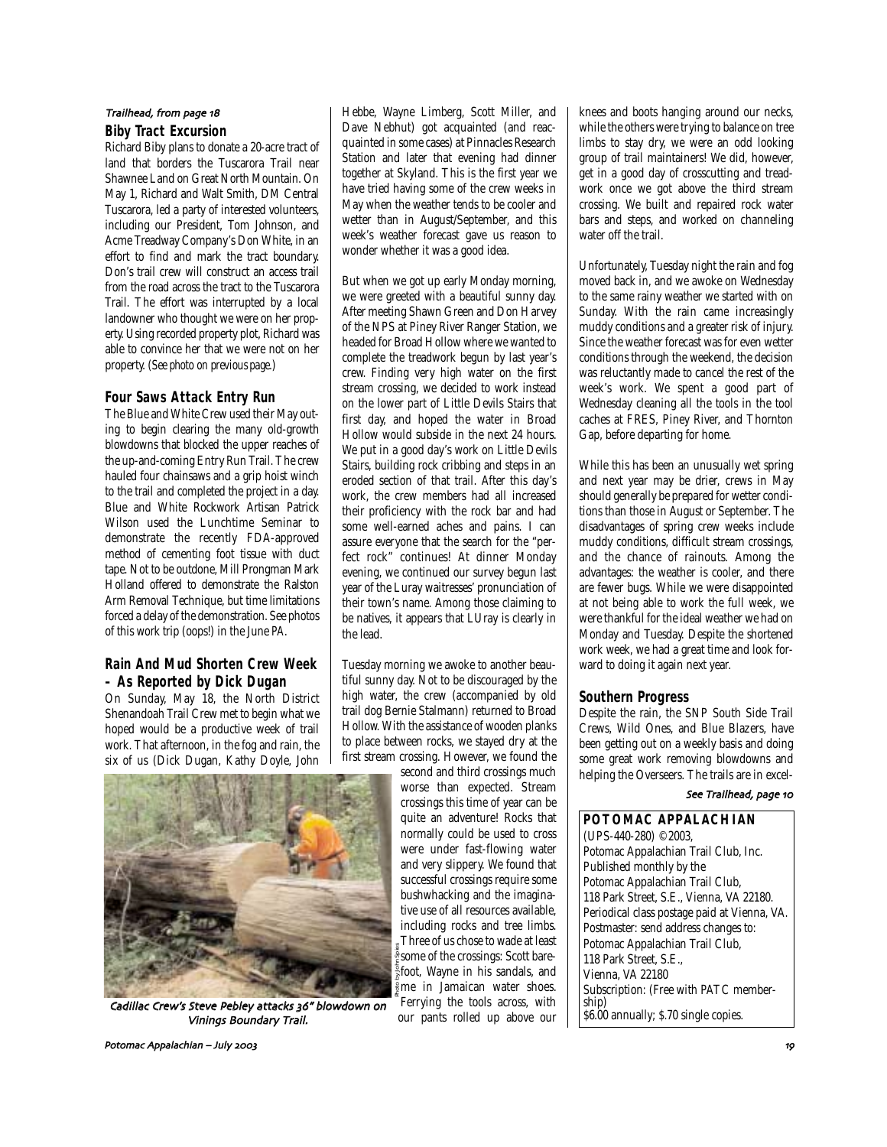# **Biby Tract Excursion**  Trailhead, from page 18

Richard Biby plans to donate a 20-acre tract of land that borders the Tuscarora Trail near Shawnee Land on Great North Mountain. On May 1, Richard and Walt Smith, DM Central Tuscarora, led a party of interested volunteers, including our President, Tom Johnson, and Acme Treadway Company's Don White, in an effort to find and mark the tract boundary. Don's trail crew will construct an access trail from the road across the tract to the Tuscarora Trail. The effort was interrupted by a local landowner who thought we were on her property. Using recorded property plot, Richard was able to convince her that we were not on her property. (*See photo on previous page.*)

## **Four Saws Attack Entry Run**

The Blue and White Crew used their May outing to begin clearing the many old-growth blowdowns that blocked the upper reaches of the up-and-coming Entry Run Trail. The crew hauled four chainsaws and a grip hoist winch to the trail and completed the project in a day. Blue and White Rockwork Artisan Patrick Wilson used the Lunchtime Seminar to demonstrate the recently FDA-approved method of cementing foot tissue with duct tape. Not to be outdone, Mill Prongman Mark Holland offered to demonstrate the Ralston Arm Removal Technique, but time limitations forced a delay of the demonstration. See photos of this work trip (oops!) in the June *PA*.

## **Rain And Mud Shorten Crew Week – As Reported by Dick Dugan**

On Sunday, May 18, the North District Shenandoah Trail Crew met to begin what we hoped would be a productive week of trail work. That afternoon, in the fog and rain, the six of us (Dick Dugan, Kathy Doyle, John

Hebbe, Wayne Limberg, Scott Miller, and Dave Nebhut) got acquainted (and reacquainted in some cases) at Pinnacles Research Station and later that evening had dinner together at Skyland. This is the first year we have tried having some of the crew weeks in May when the weather tends to be cooler and wetter than in August/September, and this week's weather forecast gave us reason to wonder whether it was a good idea.

But when we got up early Monday morning, we were greeted with a beautiful sunny day. After meeting Shawn Green and Don Harvey of the NPS at Piney River Ranger Station, we headed for Broad Hollow where we wanted to complete the treadwork begun by last year's crew. Finding very high water on the first stream crossing, we decided to work instead on the lower part of Little Devils Stairs that first day, and hoped the water in Broad Hollow would subside in the next 24 hours. We put in a good day's work on Little Devils Stairs, building rock cribbing and steps in an eroded section of that trail. After this day's work, the crew members had all increased their proficiency with the rock bar and had some well-earned aches and pains. I can assure everyone that the search for the "perfect rock" continues! At dinner Monday evening, we continued our survey begun last year of the Luray waitresses' pronunciation of their town's name. Among those claiming to be natives, it appears that LUray is clearly in the lead.

Tuesday morning we awoke to another beautiful sunny day. Not to be discouraged by the high water, the crew (accompanied by old trail dog Bernie Stalmann) returned to Broad Hollow. With the assistance of wooden planks to place between rocks, we stayed dry at the first stream crossing. However, we found the

second and third crossings much worse than expected. Stream crossings this time of year can be quite an adventure! Rocks that normally could be used to cross were under fast-flowing water and very slippery. We found that successful crossings require some bushwhacking and the imaginative use of all resources available, including rocks and tree limbs. Three of us chose to wade at least some of the crossings: Scott barefoot, Wayne in his sandals, and me in Jamaican water shoes. Ferrying the tools across, with our pants rolled up above our knees and boots hanging around our necks, while the others were trying to balance on tree limbs to stay dry, we were an odd looking group of trail maintainers! We did, however, get in a good day of crosscutting and treadwork once we got above the third stream crossing. We built and repaired rock water bars and steps, and worked on channeling water off the trail.

Unfortunately, Tuesday night the rain and fog moved back in, and we awoke on Wednesday to the same rainy weather we started with on Sunday. With the rain came increasingly muddy conditions and a greater risk of injury. Since the weather forecast was for even wetter conditions through the weekend, the decision was reluctantly made to cancel the rest of the week's work. We spent a good part of Wednesday cleaning all the tools in the tool caches at FRES, Piney River, and Thornton Gap, before departing for home.

While this has been an unusually wet spring and next year may be drier, crews in May should generally be prepared for wetter conditions than those in August or September. The disadvantages of spring crew weeks include muddy conditions, difficult stream crossings, and the chance of rainouts. Among the advantages: the weather is cooler, and there are fewer bugs. While we were disappointed at not being able to work the full week, we were thankful for the ideal weather we had on Monday and Tuesday. Despite the shortened work week, we had a great time and look forward to doing it again next year.

### **Southern Progress**

Despite the rain, the SNP South Side Trail Crews, Wild Ones, and Blue Blazers, have been getting out on a weekly basis and doing some great work removing blowdowns and helping the Overseers. The trails are in excel-

#### See Trailhead, page 10

**POTOMAC APPALACHIAN** (UPS-440-280) ©2003, Potomac Appalachian Trail Club, Inc. Published monthly by the Potomac Appalachian Trail Club, 118 Park Street, S.E., Vienna, VA 22180. Periodical class postage paid at Vienna, VA. Postmaster: send address changes to: Potomac Appalachian Trail Club, 118 Park Street, S.E., Vienna, VA 22180 Subscription: (Free with PATC membership) \$6.00 annually; \$.70 single copies.



Cadillac Crew's Steve Pebley attacks 36" blowdown on Vinings Boundary Trail.